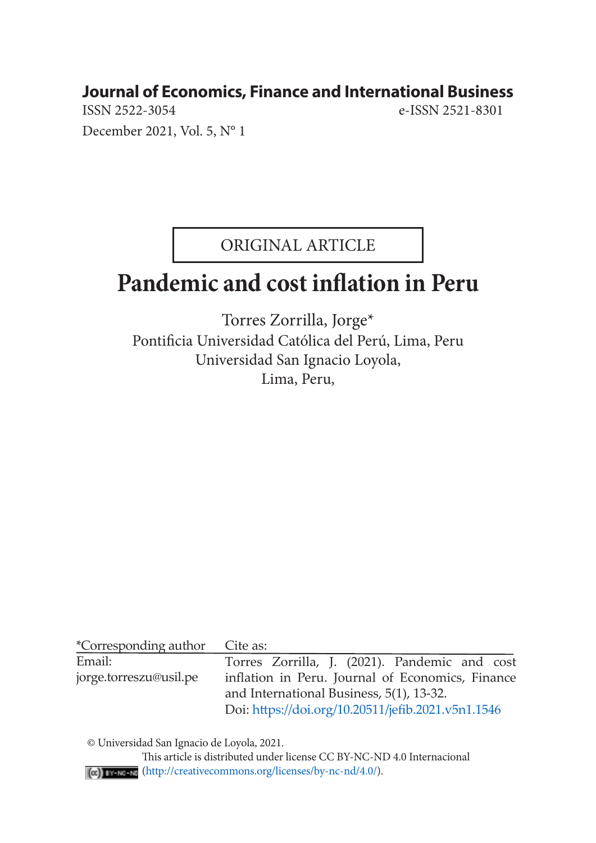# **Journal of Economics, Finance and International Business**<br>
ISSN 2522-3054<br>
e-ISSN 2521-8301

December 2021, Vol. 5, N° 1

e-ISSN 2521-8301

ORIGINAL ARTICLE

## **Pandemic and cost inflation in Peru**

Torres Zorrilla, Jorge\* Pontificia Universidad Católica del Perú, Lima, Peru Universidad San Ignacio Loyola, Lima, Peru,

| *Corresponding author  | Cite as:                                           |
|------------------------|----------------------------------------------------|
| Email:                 | Torres Zorrilla, J. (2021). Pandemic and cost      |
| jorge.torreszu@usil.pe | inflation in Peru. Journal of Economics, Finance   |
|                        | and International Business, 5(1), 13-32.           |
|                        | Doi: https://doi.org/10.20511/jefib.2021.v5n1.1546 |

© Universidad San Ignacio de Loyola, 2021.

 This article is distributed under license CC BY-NC-ND 4.0 Internacional (http://creativecommons.org/licenses/by-nc-nd/4.0/).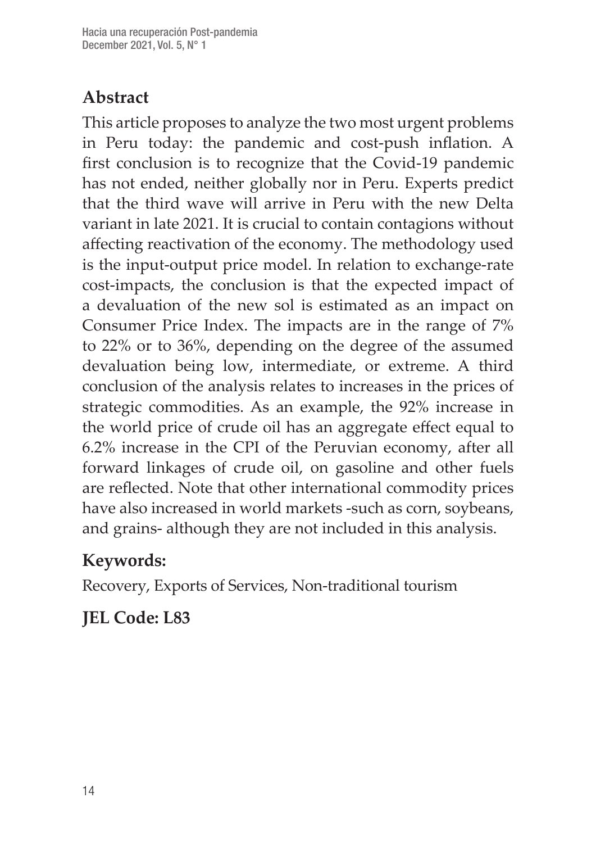## **Abstract**

This article proposes to analyze the two most urgent problems in Peru today: the pandemic and cost-push inflation. A first conclusion is to recognize that the Covid-19 pandemic has not ended, neither globally nor in Peru. Experts predict that the third wave will arrive in Peru with the new Delta variant in late 2021. It is crucial to contain contagions without affecting reactivation of the economy. The methodology used is the input-output price model. In relation to exchange-rate cost-impacts, the conclusion is that the expected impact of a devaluation of the new sol is estimated as an impact on Consumer Price Index. The impacts are in the range of 7% to 22% or to 36%, depending on the degree of the assumed devaluation being low, intermediate, or extreme. A third conclusion of the analysis relates to increases in the prices of strategic commodities. As an example, the 92% increase in the world price of crude oil has an aggregate effect equal to 6.2% increase in the CPI of the Peruvian economy, after all forward linkages of crude oil, on gasoline and other fuels are reflected. Note that other international commodity prices have also increased in world markets -such as corn, soybeans, and grains- although they are not included in this analysis.

## **Keywords:**

Recovery, Exports of Services, Non-traditional tourism

## **JEL Code: L83**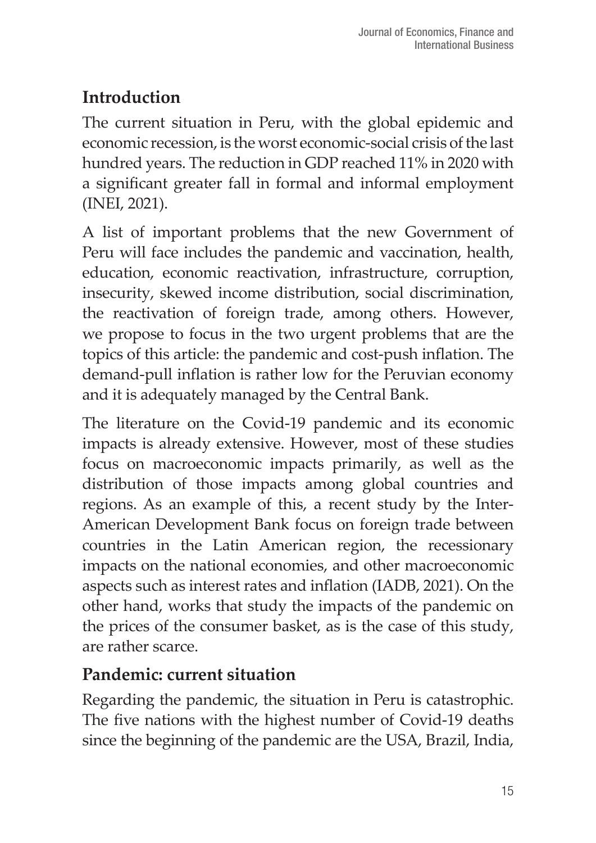## **Introduction**

The current situation in Peru, with the global epidemic and economic recession, is the worst economic-social crisis of the last hundred years. The reduction in GDP reached 11% in 2020 with a significant greater fall in formal and informal employment (INEI, 2021).

A list of important problems that the new Government of Peru will face includes the pandemic and vaccination, health, education, economic reactivation, infrastructure, corruption, insecurity, skewed income distribution, social discrimination, the reactivation of foreign trade, among others. However, we propose to focus in the two urgent problems that are the topics of this article: the pandemic and cost-push inflation. The demand-pull inflation is rather low for the Peruvian economy and it is adequately managed by the Central Bank.

The literature on the Covid-19 pandemic and its economic impacts is already extensive. However, most of these studies focus on macroeconomic impacts primarily, as well as the distribution of those impacts among global countries and regions. As an example of this, a recent study by the Inter-American Development Bank focus on foreign trade between countries in the Latin American region, the recessionary impacts on the national economies, and other macroeconomic aspects such as interest rates and inflation (IADB, 2021). On the other hand, works that study the impacts of the pandemic on the prices of the consumer basket, as is the case of this study, are rather scarce.

## **Pandemic: current situation**

Regarding the pandemic, the situation in Peru is catastrophic. The five nations with the highest number of Covid-19 deaths since the beginning of the pandemic are the USA, Brazil, India,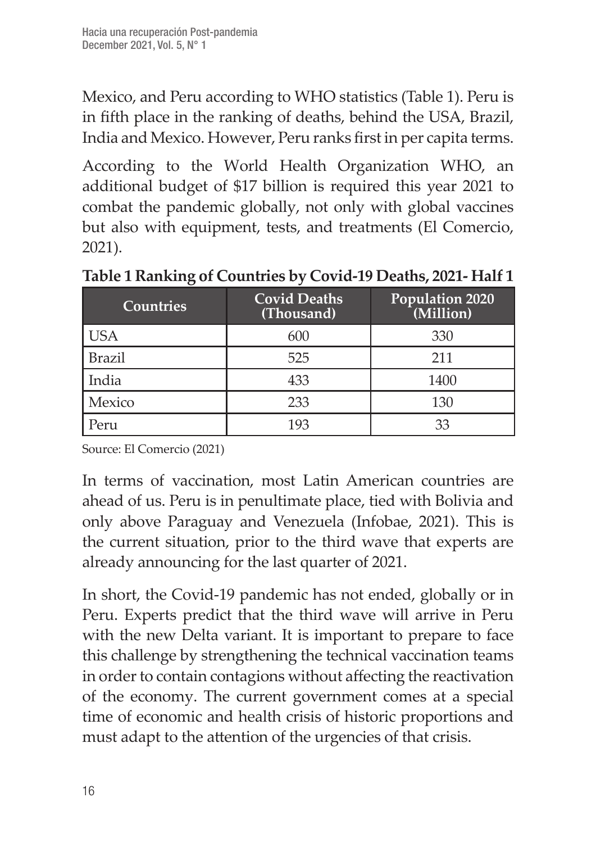Mexico, and Peru according to WHO statistics (Table 1). Peru is in fifth place in the ranking of deaths, behind the USA, Brazil, India and Mexico. However, Peru ranks first in per capita terms.

According to the World Health Organization WHO, an additional budget of \$17 billion is required this year 2021 to combat the pandemic globally, not only with global vaccines but also with equipment, tests, and treatments (El Comercio, 2021).

| <b>Countries</b> | <b>Covid Deaths</b><br>(Thousand) | Population 2020<br>(Million) |
|------------------|-----------------------------------|------------------------------|
| USA              | 600                               | 330                          |
| <b>Brazil</b>    | 525                               | 211                          |
| India            | 433                               | 1400                         |
| Mexico           | 233                               | 130                          |
| Peru             | 193                               | 33                           |

**Table 1 Ranking of Countries by Covid-19 Deaths, 2021- Half 1**

Source: El Comercio (2021)

In terms of vaccination, most Latin American countries are ahead of us. Peru is in penultimate place, tied with Bolivia and only above Paraguay and Venezuela (Infobae, 2021). This is the current situation, prior to the third wave that experts are already announcing for the last quarter of 2021.

In short, the Covid-19 pandemic has not ended, globally or in Peru. Experts predict that the third wave will arrive in Peru with the new Delta variant. It is important to prepare to face this challenge by strengthening the technical vaccination teams in order to contain contagions without affecting the reactivation of the economy. The current government comes at a special time of economic and health crisis of historic proportions and must adapt to the attention of the urgencies of that crisis.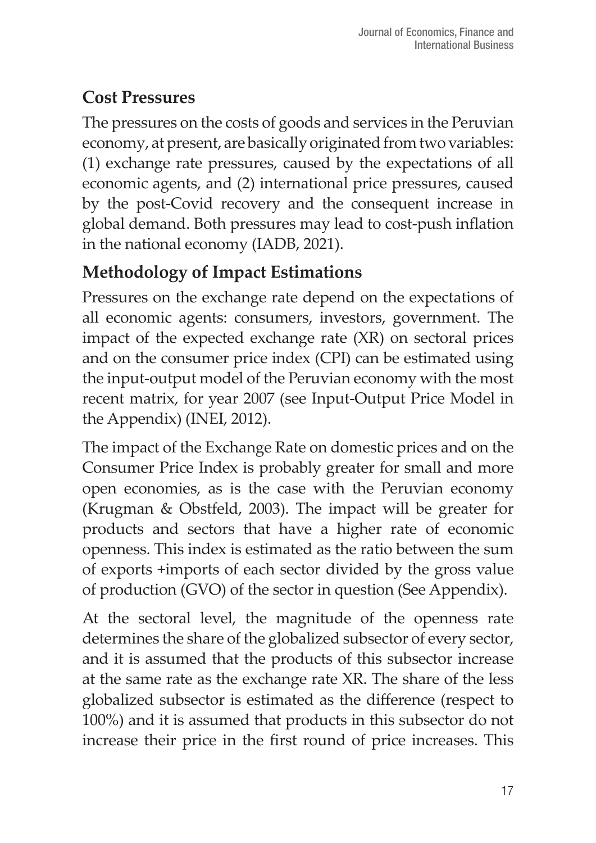## **Cost Pressures**

The pressures on the costs of goods and services in the Peruvian economy, at present, are basically originated from two variables: (1) exchange rate pressures, caused by the expectations of all economic agents, and (2) international price pressures, caused by the post-Covid recovery and the consequent increase in global demand. Both pressures may lead to cost-push inflation in the national economy (IADB, 2021).

## **Methodology of Impact Estimations**

Pressures on the exchange rate depend on the expectations of all economic agents: consumers, investors, government. The impact of the expected exchange rate (XR) on sectoral prices and on the consumer price index (CPI) can be estimated using the input-output model of the Peruvian economy with the most recent matrix, for year 2007 (see Input-Output Price Model in the Appendix) (INEI, 2012).

The impact of the Exchange Rate on domestic prices and on the Consumer Price Index is probably greater for small and more open economies, as is the case with the Peruvian economy (Krugman & Obstfeld, 2003). The impact will be greater for products and sectors that have a higher rate of economic openness. This index is estimated as the ratio between the sum of exports +imports of each sector divided by the gross value of production (GVO) of the sector in question (See Appendix).

At the sectoral level, the magnitude of the openness rate determines the share of the globalized subsector of every sector, and it is assumed that the products of this subsector increase at the same rate as the exchange rate XR. The share of the less globalized subsector is estimated as the difference (respect to 100%) and it is assumed that products in this subsector do not increase their price in the first round of price increases. This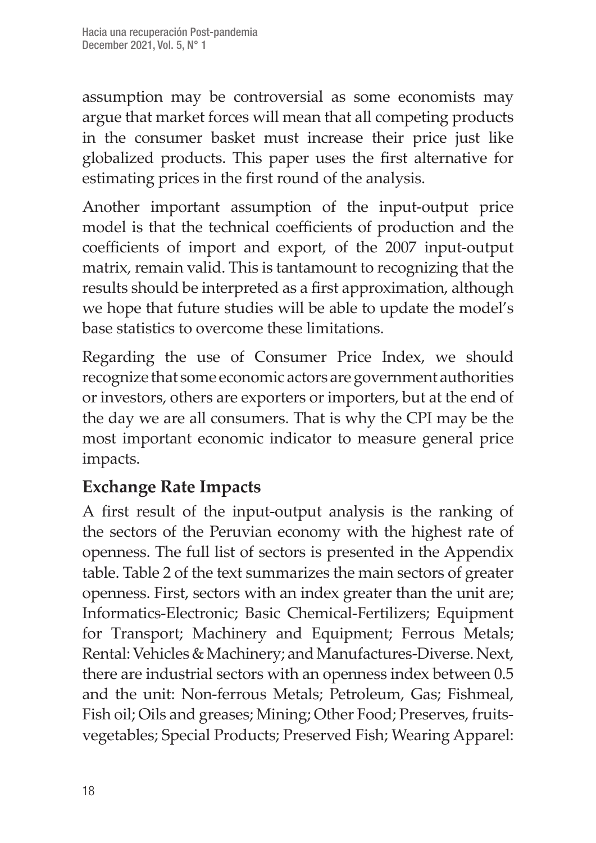assumption may be controversial as some economists may argue that market forces will mean that all competing products in the consumer basket must increase their price just like globalized products. This paper uses the first alternative for estimating prices in the first round of the analysis.

Another important assumption of the input-output price model is that the technical coefficients of production and the coefficients of import and export, of the 2007 input-output matrix, remain valid. This is tantamount to recognizing that the results should be interpreted as a first approximation, although we hope that future studies will be able to update the model's base statistics to overcome these limitations.

Regarding the use of Consumer Price Index, we should recognize that some economic actors are government authorities or investors, others are exporters or importers, but at the end of the day we are all consumers. That is why the CPI may be the most important economic indicator to measure general price impacts.

## **Exchange Rate Impacts**

A first result of the input-output analysis is the ranking of the sectors of the Peruvian economy with the highest rate of openness. The full list of sectors is presented in the Appendix table. Table 2 of the text summarizes the main sectors of greater openness. First, sectors with an index greater than the unit are; Informatics-Electronic; Basic Chemical-Fertilizers; Equipment for Transport; Machinery and Equipment; Ferrous Metals; Rental: Vehicles & Machinery; and Manufactures-Diverse. Next, there are industrial sectors with an openness index between 0.5 and the unit: Non-ferrous Metals; Petroleum, Gas; Fishmeal, Fish oil; Oils and greases; Mining; Other Food; Preserves, fruitsvegetables; Special Products; Preserved Fish; Wearing Apparel: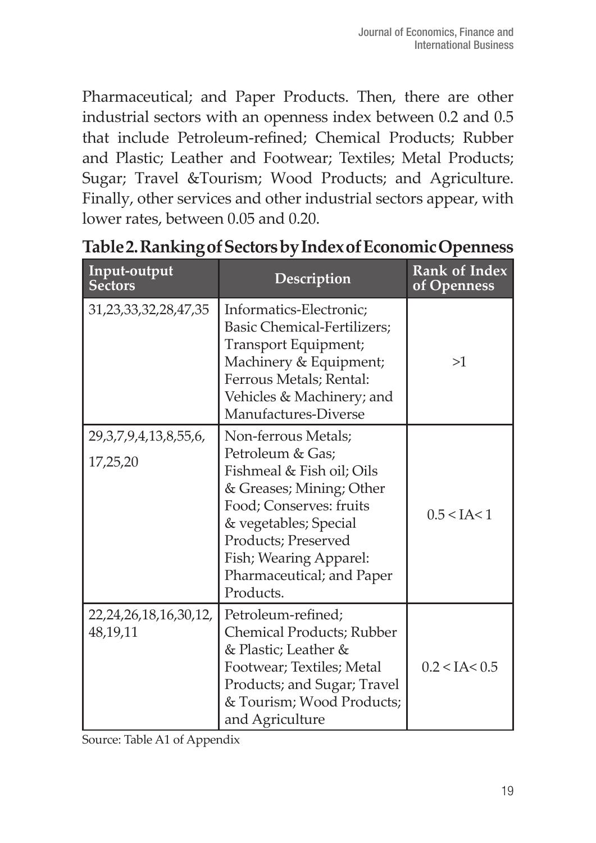Pharmaceutical; and Paper Products. Then, there are other industrial sectors with an openness index between 0.2 and 0.5 that include Petroleum-refined; Chemical Products; Rubber and Plastic; Leather and Footwear; Textiles; Metal Products; Sugar; Travel &Tourism; Wood Products; and Agriculture. Finally, other services and other industrial sectors appear, with lower rates, between 0.05 and 0.20.

| Input-output<br><b>Sectors</b>            | Description                                                                                                                                                                                                                                     | <b>Rank of Index</b><br>of Openness |
|-------------------------------------------|-------------------------------------------------------------------------------------------------------------------------------------------------------------------------------------------------------------------------------------------------|-------------------------------------|
| 31,23,33,32,28,47,35                      | Informatics-Electronic;<br>Basic Chemical-Fertilizers:<br>Transport Equipment;<br>Machinery & Equipment;<br>Ferrous Metals; Rental:<br>Vehicles & Machinery; and<br>Manufactures-Diverse                                                        | >1                                  |
| 29, 3, 7, 9, 4, 13, 8, 55, 6,<br>17,25,20 | Non-ferrous Metals;<br>Petroleum & Gas;<br>Fishmeal & Fish oil; Oils<br>& Greases; Mining; Other<br>Food; Conserves: fruits<br>& vegetables; Special<br>Products; Preserved<br>Fish; Wearing Apparel:<br>Pharmaceutical; and Paper<br>Products. | 0.5 < I A < 1                       |
| 22, 24, 26, 18, 16, 30, 12,<br>48,19,11   | Petroleum-refined;<br>Chemical Products; Rubber<br>& Plastic; Leather &<br>Footwear; Textiles; Metal<br>Products; and Sugar; Travel<br>& Tourism; Wood Products;<br>and Agriculture                                                             | 0.2 < I A < 0.5                     |

**Table 2. Ranking of Sectors by Index of Economic Openness**

Source: Table A1 of Appendix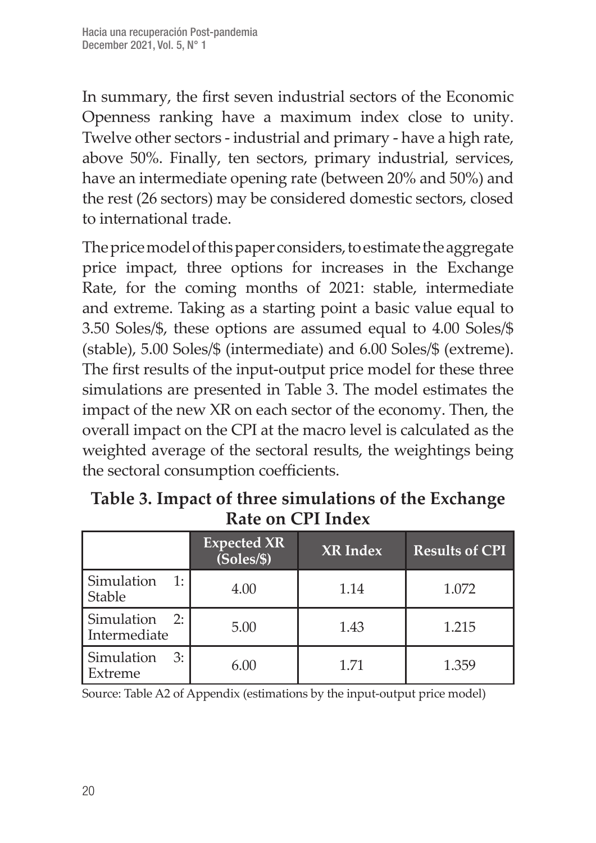In summary, the first seven industrial sectors of the Economic Openness ranking have a maximum index close to unity. Twelve other sectors - industrial and primary - have a high rate, above 50%. Finally, ten sectors, primary industrial, services, have an intermediate opening rate (between 20% and 50%) and the rest (26 sectors) may be considered domestic sectors, closed to international trade.

The price model of this paper considers, to estimate the aggregate price impact, three options for increases in the Exchange Rate, for the coming months of 2021: stable, intermediate and extreme. Taking as a starting point a basic value equal to 3.50 Soles/\$, these options are assumed equal to 4.00 Soles/\$ (stable), 5.00 Soles/\$ (intermediate) and 6.00 Soles/\$ (extreme). The first results of the input-output price model for these three simulations are presented in Table 3. The model estimates the impact of the new XR on each sector of the economy. Then, the overall impact on the CPI at the macro level is calculated as the weighted average of the sectoral results, the weightings being the sectoral consumption coefficients.

|                                    | <b>Expected XR</b><br>(Soles/S) | <b>XR</b> Index | <b>Results of CPI</b> |
|------------------------------------|---------------------------------|-----------------|-----------------------|
| Simulation<br>1:<br><b>Stable</b>  | 4.00                            | 1.14            | 1.072                 |
| Simulation<br>2:<br>Intermediate   | 5.00                            | 1.43            | 1.215                 |
| <b>Simulation</b><br>3:<br>Extreme | 6.00                            | 1.71            | 1.359                 |

**Table 3. Impact of three simulations of the Exchange Rate on CPI Index**

Source: Table A2 of Appendix (estimations by the input-output price model)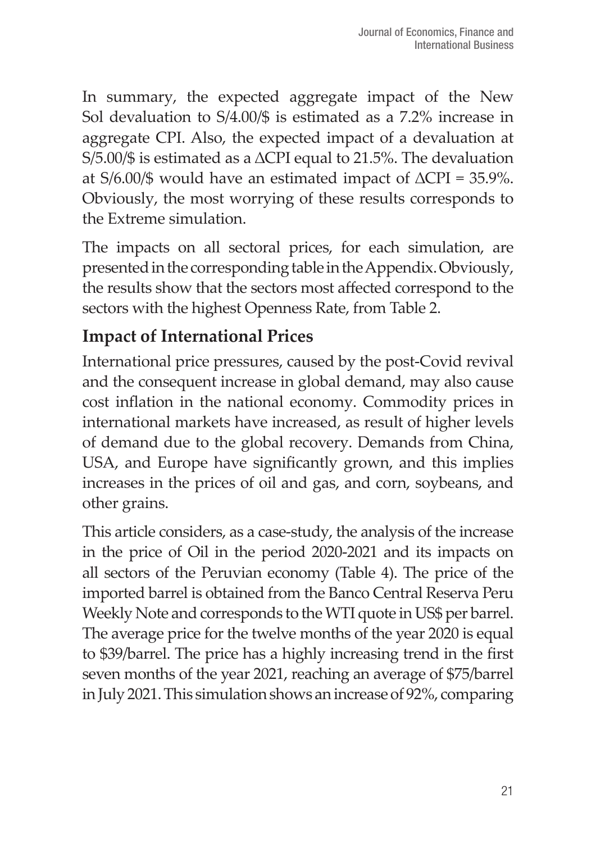In summary, the expected aggregate impact of the New Sol devaluation to S/4.00/\$ is estimated as a 7.2% increase in aggregate CPI. Also, the expected impact of a devaluation at S/5.00/\$ is estimated as a ∆CPI equal to 21.5%. The devaluation at S/6.00/\$ would have an estimated impact of ∆CPI = 35.9%. Obviously, the most worrying of these results corresponds to the Extreme simulation.

The impacts on all sectoral prices, for each simulation, are presented in the corresponding table in the Appendix. Obviously, the results show that the sectors most affected correspond to the sectors with the highest Openness Rate, from Table 2.

## **Impact of International Prices**

International price pressures, caused by the post-Covid revival and the consequent increase in global demand, may also cause cost inflation in the national economy. Commodity prices in international markets have increased, as result of higher levels of demand due to the global recovery. Demands from China, USA, and Europe have significantly grown, and this implies increases in the prices of oil and gas, and corn, soybeans, and other grains.

This article considers, as a case-study, the analysis of the increase in the price of Oil in the period 2020-2021 and its impacts on all sectors of the Peruvian economy (Table 4). The price of the imported barrel is obtained from the Banco Central Reserva Peru Weekly Note and corresponds to the WTI quote in US\$ per barrel. The average price for the twelve months of the year 2020 is equal to \$39/barrel. The price has a highly increasing trend in the first seven months of the year 2021, reaching an average of \$75/barrel in July 2021. This simulation shows an increase of 92%, comparing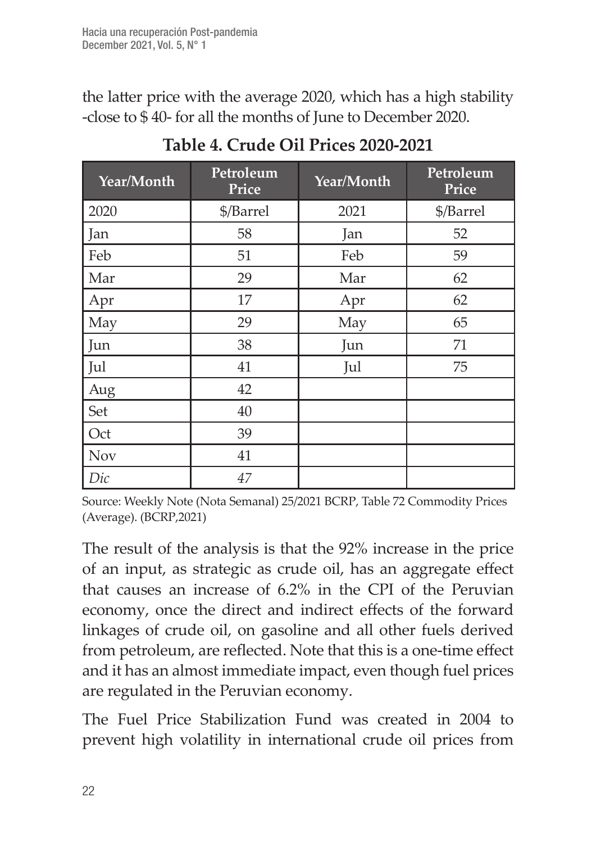the latter price with the average 2020, which has a high stability -close to \$ 40- for all the months of June to December 2020.

| Year/Month | Petroleum<br>Price |      | Petroleum<br>Price |  |
|------------|--------------------|------|--------------------|--|
| 2020       | \$/Barrel          | 2021 | \$/Barrel          |  |
| Jan        | 58                 | Jan  | 52                 |  |
| Feb        | 51                 | Feb  | 59                 |  |
| Mar        | 29                 | Mar  | 62                 |  |
| Apr        | 17                 | Apr  | 62                 |  |
| May        | 29                 | May  | 65                 |  |
| Jun        | 38                 | Jun  | 71                 |  |
| Jul        | 41                 | Jul  | 75                 |  |
| Aug        | 42                 |      |                    |  |
| Set        | 40                 |      |                    |  |
| Oct        | 39                 |      |                    |  |
| <b>Nov</b> | 41                 |      |                    |  |
| Dic        | 47                 |      |                    |  |

**Table 4. Crude Oil Prices 2020-2021**

Source: Weekly Note (Nota Semanal) 25/2021 BCRP, Table 72 Commodity Prices (Average). (BCRP,2021)

The result of the analysis is that the 92% increase in the price of an input, as strategic as crude oil, has an aggregate effect that causes an increase of 6.2% in the CPI of the Peruvian economy, once the direct and indirect effects of the forward linkages of crude oil, on gasoline and all other fuels derived from petroleum, are reflected. Note that this is a one-time effect and it has an almost immediate impact, even though fuel prices are regulated in the Peruvian economy.

The Fuel Price Stabilization Fund was created in 2004 to prevent high volatility in international crude oil prices from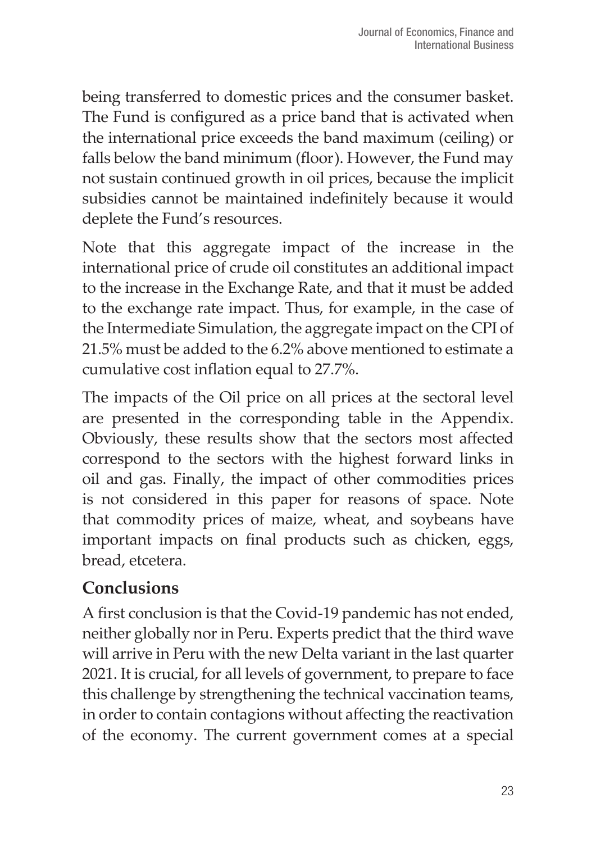being transferred to domestic prices and the consumer basket. The Fund is configured as a price band that is activated when the international price exceeds the band maximum (ceiling) or falls below the band minimum (floor). However, the Fund may not sustain continued growth in oil prices, because the implicit subsidies cannot be maintained indefinitely because it would deplete the Fund's resources.

Note that this aggregate impact of the increase in the international price of crude oil constitutes an additional impact to the increase in the Exchange Rate, and that it must be added to the exchange rate impact. Thus, for example, in the case of the Intermediate Simulation, the aggregate impact on the CPI of 21.5% must be added to the 6.2% above mentioned to estimate a cumulative cost inflation equal to 27.7%.

The impacts of the Oil price on all prices at the sectoral level are presented in the corresponding table in the Appendix. Obviously, these results show that the sectors most affected correspond to the sectors with the highest forward links in oil and gas. Finally, the impact of other commodities prices is not considered in this paper for reasons of space. Note that commodity prices of maize, wheat, and soybeans have important impacts on final products such as chicken, eggs, bread, etcetera.

## **Conclusions**

A first conclusion is that the Covid-19 pandemic has not ended, neither globally nor in Peru. Experts predict that the third wave will arrive in Peru with the new Delta variant in the last quarter 2021. It is crucial, for all levels of government, to prepare to face this challenge by strengthening the technical vaccination teams, in order to contain contagions without affecting the reactivation of the economy. The current government comes at a special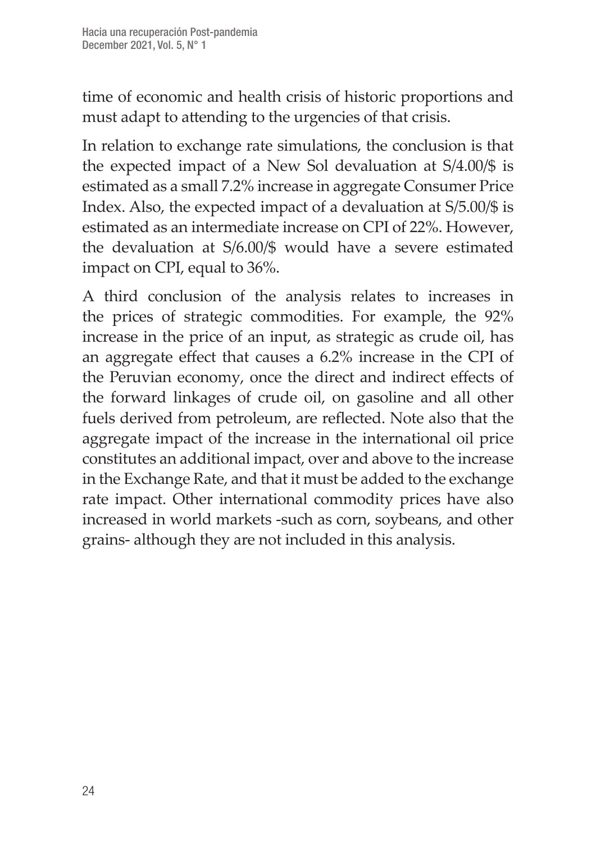time of economic and health crisis of historic proportions and must adapt to attending to the urgencies of that crisis.

In relation to exchange rate simulations, the conclusion is that the expected impact of a New Sol devaluation at S/4.00/\$ is estimated as a small 7.2% increase in aggregate Consumer Price Index. Also, the expected impact of a devaluation at S/5.00/\$ is estimated as an intermediate increase on CPI of 22%. However, the devaluation at S/6.00/\$ would have a severe estimated impact on CPI, equal to 36%.

A third conclusion of the analysis relates to increases in the prices of strategic commodities. For example, the 92% increase in the price of an input, as strategic as crude oil, has an aggregate effect that causes a 6.2% increase in the CPI of the Peruvian economy, once the direct and indirect effects of the forward linkages of crude oil, on gasoline and all other fuels derived from petroleum, are reflected. Note also that the aggregate impact of the increase in the international oil price constitutes an additional impact, over and above to the increase in the Exchange Rate, and that it must be added to the exchange rate impact. Other international commodity prices have also increased in world markets -such as corn, soybeans, and other grains- although they are not included in this analysis.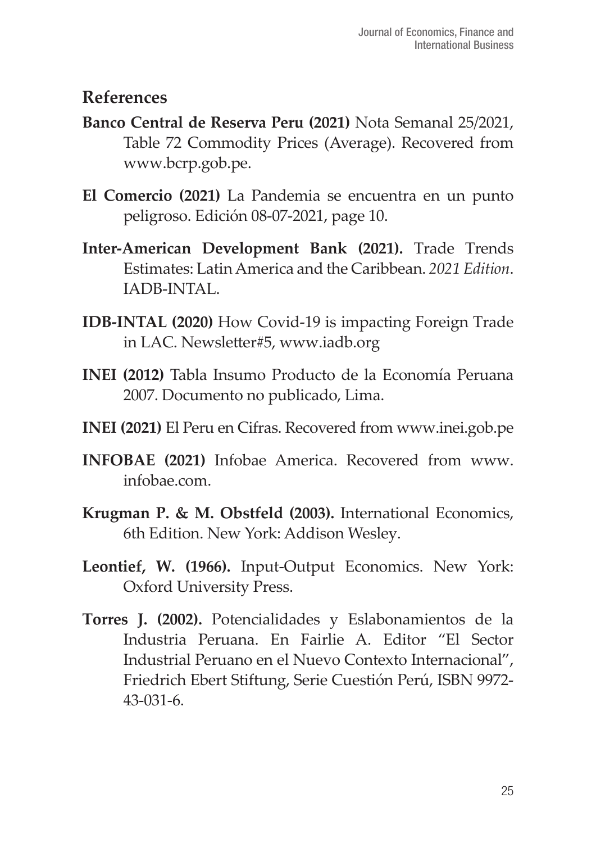#### **References**

- **Banco Central de Reserva Peru (2021)** Nota Semanal 25/2021, Table 72 Commodity Prices (Average). Recovered from www.bcrp.gob.pe.
- **El Comercio (2021)** La Pandemia se encuentra en un punto peligroso. Edición 08-07-2021, page 10.
- **Inter-American Development Bank (2021).** Trade Trends Estimates: Latin America and the Caribbean. *2021 Edition*. IADB-INTAL.
- **IDB-INTAL (2020)** How Covid-19 is impacting Foreign Trade in LAC. Newsletter#5, www.iadb.org
- **INEI (2012)** Tabla Insumo Producto de la Economía Peruana 2007. Documento no publicado, Lima.
- **INEI (2021)** El Peru en Cifras. Recovered from www.inei.gob.pe
- **INFOBAE (2021)** Infobae America. Recovered from www. infobae.com.
- **Krugman P. & M. Obstfeld (2003).** International Economics, 6th Edition. New York: Addison Wesley.
- **Leontief, W. (1966).** Input-Output Economics. New York: Oxford University Press.
- **Torres J. (2002).** Potencialidades y Eslabonamientos de la Industria Peruana. En Fairlie A. Editor "El Sector Industrial Peruano en el Nuevo Contexto Internacional", Friedrich Ebert Stiftung, Serie Cuestión Perú, ISBN 9972- 43-031-6.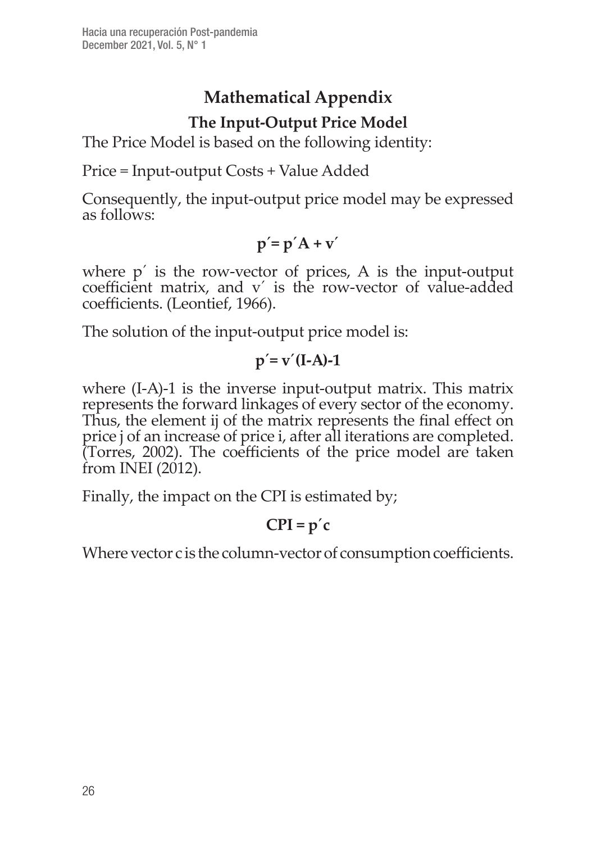## **Mathematical Appendix The Input-Output Price Model**

The Price Model is based on the following identity:

Price = Input-output Costs + Value Added

Consequently, the input-output price model may be expressed as follows:

$$
p' = p' A + v'
$$

where  $p'$  is the row-vector of prices, A is the input-output coefficient matrix, and v´ is the row-vector of value-added coefficients. (Leontief, 1966).

The solution of the input-output price model is:

$$
p' = v'(I-A)-1
$$

where (I-A)-1 is the inverse input-output matrix. This matrix represents the forward linkages of every sector of the economy. Thus, the element ij of the matrix represents the final effect on price j of an increase of price i, after all iterations are completed. (Torres, 2002). The coefficients of the price model are taken from INEI (2012).

Finally, the impact on the CPI is estimated by;

#### $CPI = p'c$

Where vector c is the column-vector of consumption coefficients.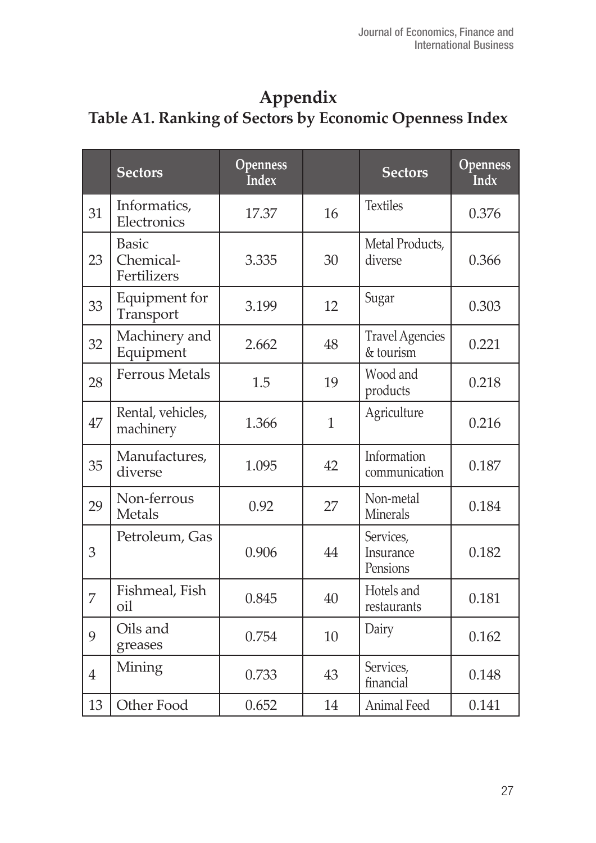#### **Appendix Table A1. Ranking of Sectors by Economic Openness Index**

|                | <b>Sectors</b>                           | Openness<br><b>Index</b> |              | <b>Sectors</b>                      | Openness<br><b>Indx</b> |
|----------------|------------------------------------------|--------------------------|--------------|-------------------------------------|-------------------------|
| 31             | Informatics,<br>Electronics              | 17.37                    | 16           | <b>Textiles</b>                     | 0.376                   |
| 23             | <b>Basic</b><br>Chemical-<br>Fertilizers | 3.335                    | 30           | Metal Products,<br>diverse          | 0.366                   |
| 33             | Equipment for<br>Transport               | 3.199                    | 12           | Sugar                               | 0.303                   |
| 32             | Machinery and<br>Equipment               | 2.662                    | 48           | <b>Travel Agencies</b><br>& tourism | 0.221                   |
| 28             | <b>Ferrous Metals</b>                    | 1.5                      | 19           | Wood and<br>products                | 0.218                   |
| 47             | Rental, vehicles,<br>machinery           | 1.366                    | $\mathbf{1}$ | Agriculture                         | 0.216                   |
| 35             | Manufactures,<br>diverse                 | 1.095                    | 42           | Information<br>communication        | 0.187                   |
| 29             | Non-ferrous<br>Metals                    | 0.92                     | 27           | Non-metal<br>Minerals               | 0.184                   |
| 3              | Petroleum, Gas                           | 0.906                    | 44           | Services,<br>Insurance<br>Pensions  | 0.182                   |
| 7              | Fishmeal, Fish<br>oil                    | 0.845                    | 40           | Hotels and<br>restaurants           | 0.181                   |
| 9              | Oils and<br>greases                      | 0.754                    | 10           | Dairy                               | 0.162                   |
| $\overline{4}$ | Mining                                   | 0.733                    | 43           | Services,<br>financial              | 0.148                   |
| 13             | Other Food                               | 0.652                    | 14           | Animal Feed                         | 0.141                   |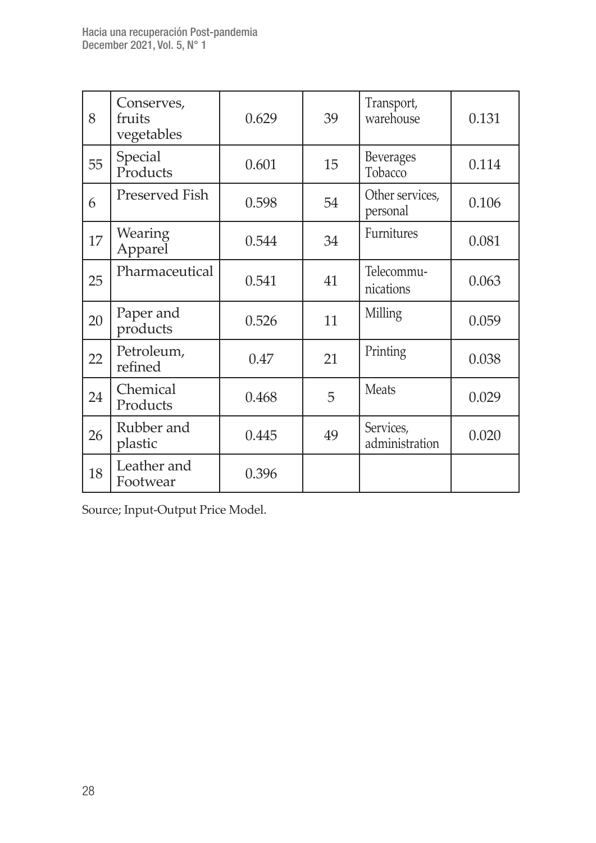| 8  | Conserves,<br>fruits<br>vegetables | 0.629 | 39 | Transport,<br>warehouse     | 0.131 |
|----|------------------------------------|-------|----|-----------------------------|-------|
| 55 | Special<br>Products                | 0.601 | 15 | Beverages<br>Tobacco        | 0.114 |
| 6  | Preserved Fish                     | 0.598 | 54 | Other services,<br>personal | 0.106 |
| 17 | Wearing<br>Apparel                 | 0.544 | 34 | Furnitures                  | 0.081 |
| 25 | Pharmaceutical                     | 0.541 | 41 | Telecommu-<br>nications     | 0.063 |
| 20 | Paper and<br>products              | 0.526 | 11 | Milling                     | 0.059 |
| 22 | Petroleum,<br>refined              | 0.47  | 21 | Printing                    | 0.038 |
| 24 | Chemical<br>Products               | 0.468 | 5  | <b>Meats</b>                | 0.029 |
| 26 | Rubber and<br>plastic              | 0.445 | 49 | Services,<br>administration | 0.020 |
| 18 | Leather and<br>Footwear            | 0.396 |    |                             |       |

Source; Input-Output Price Model.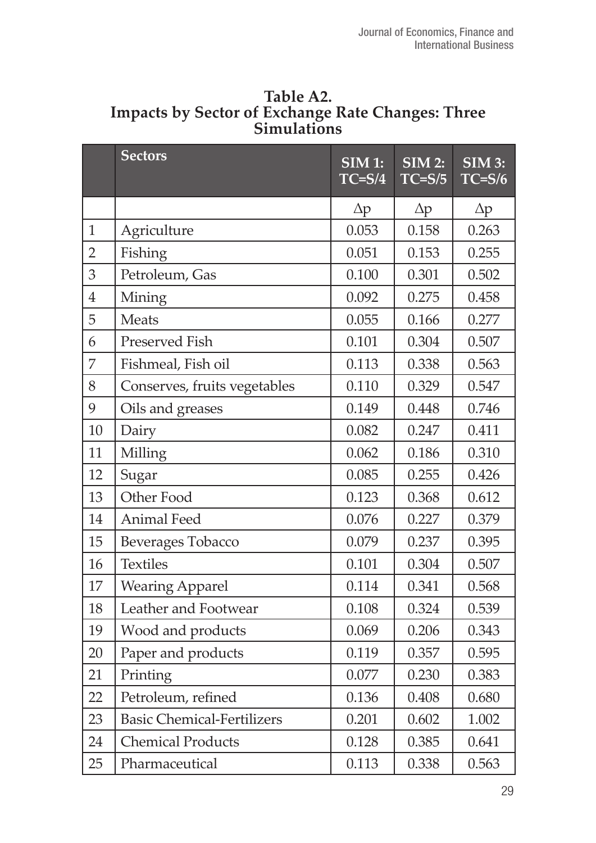|                | <b>Sectors</b>                    | <b>SIM 1:</b><br>$TC = S/4$ | $SIM$ 2:<br>$TC = S/5$ | SIM3:<br>$TC = S/6$ |
|----------------|-----------------------------------|-----------------------------|------------------------|---------------------|
|                |                                   | $\Delta p$                  | $\Delta p$             | Δp                  |
| $\mathbf{1}$   | Agriculture                       | 0.053                       | 0.158                  | 0.263               |
| $\overline{2}$ | Fishing                           | 0.051                       | 0.153                  | 0.255               |
| 3              | Petroleum, Gas                    | 0.100                       | 0.301                  | 0.502               |
| $\overline{4}$ | Mining                            | 0.092                       | 0.275                  | 0.458               |
| 5              | Meats                             | 0.055                       | 0.166                  | 0.277               |
| 6              | Preserved Fish                    | 0.101                       | 0.304                  | 0.507               |
| 7              | Fishmeal, Fish oil                | 0.113                       | 0.338                  | 0.563               |
| 8              | Conserves, fruits vegetables      | 0.110                       | 0.329                  | 0.547               |
| 9              | Oils and greases                  | 0.149                       | 0.448                  | 0.746               |
| 10             | Dairy                             | 0.082                       | 0.247                  | 0.411               |
| 11             | Milling                           | 0.062                       | 0.186                  | 0.310               |
| 12             | Sugar                             | 0.085                       | 0.255                  | 0.426               |
| 13             | Other Food                        | 0.123                       | 0.368                  | 0.612               |
| 14             | <b>Animal Feed</b>                | 0.076                       | 0.227                  | 0.379               |
| 15             | Beverages Tobacco                 | 0.079                       | 0.237                  | 0.395               |
| 16             | <b>Textiles</b>                   | 0.101                       | 0.304                  | 0.507               |
| 17             | <b>Wearing Apparel</b>            | 0.114                       | 0.341                  | 0.568               |
| 18             | Leather and Footwear              | 0.108                       | 0.324                  | 0.539               |
| 19             | Wood and products                 | 0.069                       | 0.206                  | 0.343               |
| 20             | Paper and products                | 0.119                       | 0.357                  | 0.595               |
| 21             | Printing                          | 0.077                       | 0.230                  | 0.383               |
| 22             | Petroleum, refined                | 0.136                       | 0.408                  | 0.680               |
| 23             | <b>Basic Chemical-Fertilizers</b> | 0.201                       | 0.602                  | 1.002               |
| 24             | <b>Chemical Products</b>          | 0.128                       | 0.385                  | 0.641               |
| 25             | Pharmaceutical                    | 0.113                       | 0.338                  | 0.563               |

**Table A2. Impacts by Sector of Exchange Rate Changes: Three Simulations**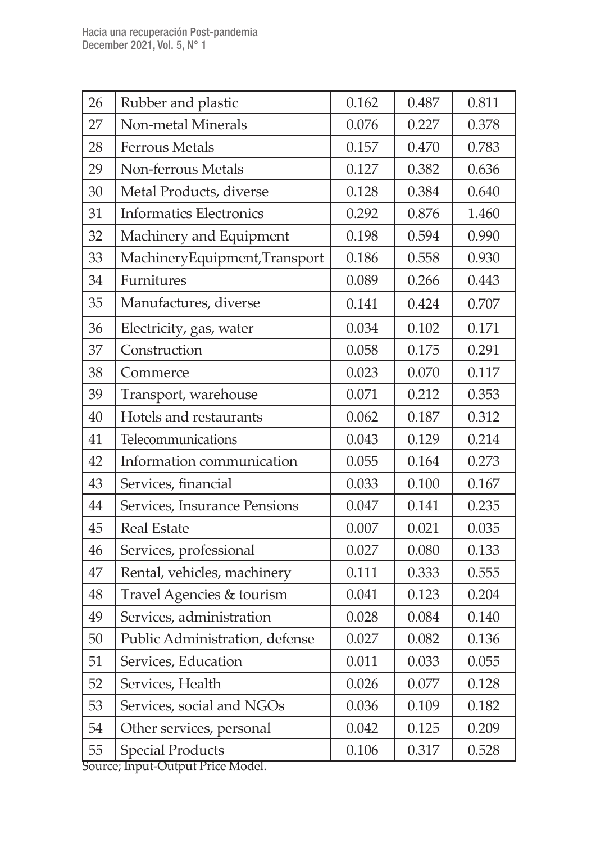| 26 | Rubber and plastic                   | 0.162 | 0.487 | 0.811 |
|----|--------------------------------------|-------|-------|-------|
| 27 | Non-metal Minerals                   | 0.076 | 0.227 | 0.378 |
| 28 | <b>Ferrous Metals</b>                | 0.157 | 0.470 | 0.783 |
| 29 | Non-ferrous Metals                   | 0.127 | 0.382 | 0.636 |
| 30 | Metal Products, diverse              | 0.128 | 0.384 | 0.640 |
| 31 | <b>Informatics Electronics</b>       | 0.292 | 0.876 | 1.460 |
| 32 | Machinery and Equipment              | 0.198 | 0.594 | 0.990 |
| 33 | MachineryEquipment,Transport         | 0.186 | 0.558 | 0.930 |
| 34 | Furnitures                           | 0.089 | 0.266 | 0.443 |
| 35 | Manufactures, diverse                | 0.141 | 0.424 | 0.707 |
| 36 | Electricity, gas, water              | 0.034 | 0.102 | 0.171 |
| 37 | Construction                         | 0.058 | 0.175 | 0.291 |
| 38 | Commerce                             | 0.023 | 0.070 | 0.117 |
| 39 | Transport, warehouse                 | 0.071 | 0.212 | 0.353 |
| 40 | Hotels and restaurants               | 0.062 | 0.187 | 0.312 |
| 41 | Telecommunications                   | 0.043 | 0.129 | 0.214 |
| 42 | Information communication            | 0.055 | 0.164 | 0.273 |
| 43 | Services, financial                  | 0.033 | 0.100 | 0.167 |
| 44 | Services, Insurance Pensions         | 0.047 | 0.141 | 0.235 |
| 45 | <b>Real Estate</b>                   | 0.007 | 0.021 | 0.035 |
| 46 | Services, professional               | 0.027 | 0.080 | 0.133 |
| 47 | Rental, vehicles, machinery          | 0.111 | 0.333 | 0.555 |
| 48 | Travel Agencies & tourism            | 0.041 | 0.123 | 0.204 |
| 49 | Services, administration             | 0.028 | 0.084 | 0.140 |
| 50 | Public Administration, defense       | 0.027 | 0.082 | 0.136 |
| 51 | Services, Education                  | 0.011 | 0.033 | 0.055 |
| 52 | Services, Health                     | 0.026 | 0.077 | 0.128 |
| 53 | Services, social and NGOs            | 0.036 | 0.109 | 0.182 |
| 54 | Other services, personal             | 0.042 | 0.125 | 0.209 |
| 55 | <b>Special Products</b><br>$M = 1.1$ | 0.106 | 0.317 | 0.528 |

Source; Input-Output Price Model.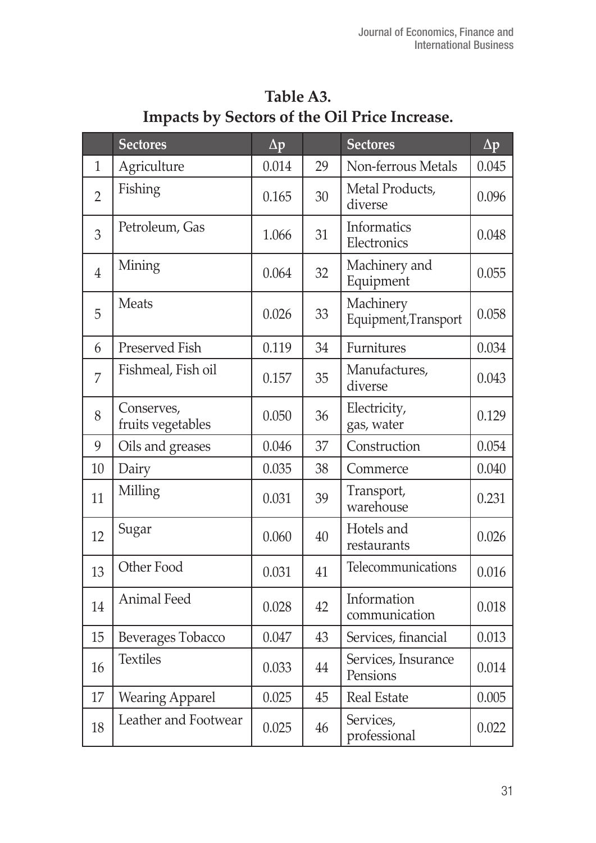|                | <b>Sectores</b>                 | $\Delta p$ |    | <b>Sectores</b>                   | $\Delta p$ |
|----------------|---------------------------------|------------|----|-----------------------------------|------------|
| 1              | Agriculture                     | 0.014      | 29 | Non-ferrous Metals                | 0.045      |
| $\overline{2}$ | Fishing                         | 0.165      | 30 | Metal Products,<br>diverse        | 0.096      |
| 3              | Petroleum, Gas                  | 1.066      | 31 | Informatics<br>Electronics        | 0.048      |
| $\overline{4}$ | Mining                          | 0.064      | 32 | Machinery and<br>Equipment        | 0.055      |
| 5              | Meats                           | 0.026      | 33 | Machinery<br>Equipment, Transport | 0.058      |
| 6              | Preserved Fish                  | 0.119      | 34 | Furnitures                        | 0.034      |
| 7              | Fishmeal, Fish oil              | 0.157      | 35 | Manufactures,<br>diverse          | 0.043      |
| 8              | Conserves,<br>fruits vegetables | 0.050      | 36 | Electricity,<br>gas, water        | 0.129      |
| 9              | Oils and greases                | 0.046      | 37 | Construction                      | 0.054      |
| 10             | Dairy                           | 0.035      | 38 | Commerce                          | 0.040      |
| 11             | Milling                         | 0.031      | 39 | Transport,<br>warehouse           | 0.231      |
| 12             | Sugar                           | 0.060      | 40 | Hotels and<br>restaurants         | 0.026      |
| 13             | Other Food                      | 0.031      | 41 | Telecommunications                | 0.016      |
| 14             | Animal Feed                     | 0.028      | 42 | Information<br>communication      | 0.018      |
| 15             | Beverages Tobacco               | 0.047      | 43 | Services, financial               | 0.013      |
| 16             | <b>Textiles</b>                 | 0.033      | 44 | Services, Insurance<br>Pensions   | 0.014      |
| 17             | <b>Wearing Apparel</b>          | 0.025      | 45 | <b>Real Estate</b>                | 0.005      |
| 18             | Leather and Footwear            | 0.025      | 46 | Services,<br>professional         | 0.022      |

**Table A3. Impacts by Sectors of the Oil Price Increase.**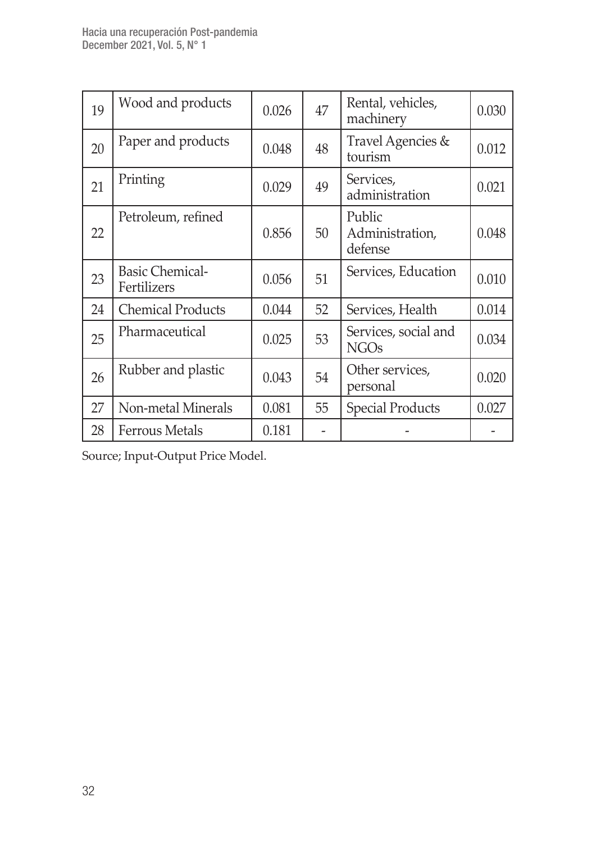| 19 | Wood and products                     | 0.026 | 47 | Rental, vehicles,<br>machinery       | 0.030 |
|----|---------------------------------------|-------|----|--------------------------------------|-------|
| 20 | Paper and products                    | 0.048 | 48 | Travel Agencies &<br>tourism         | 0.012 |
| 21 | Printing                              | 0.029 | 49 | Services,<br>administration          | 0.021 |
| 22 | Petroleum, refined                    | 0.856 | 50 | Public<br>Administration,<br>defense | 0.048 |
| 23 | <b>Basic Chemical-</b><br>Fertilizers | 0.056 | 51 | Services, Education                  | 0.010 |
| 24 | <b>Chemical Products</b>              | 0.044 | 52 | Services, Health                     | 0.014 |
| 25 | Pharmaceutical                        | 0.025 | 53 | Services, social and<br><b>NGOs</b>  | 0.034 |
| 26 | Rubber and plastic                    | 0.043 | 54 | Other services,<br>personal          | 0.020 |
| 27 | Non-metal Minerals                    | 0.081 | 55 | <b>Special Products</b>              | 0.027 |
| 28 | Ferrous Metals                        | 0.181 |    |                                      |       |

Source; Input-Output Price Model.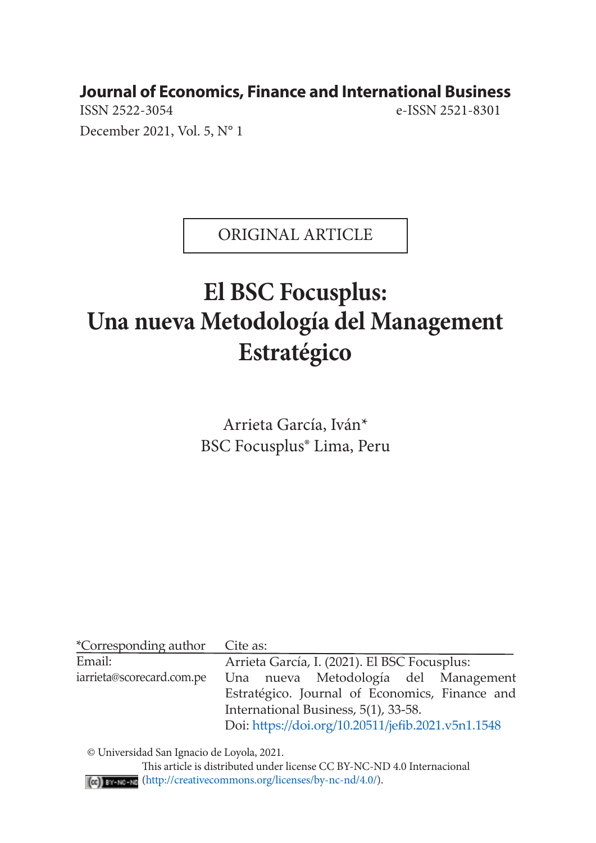**Journal of Economics, Finance and International Business**

ISSN 2522-3054 e-ISSN 2521-8301 December 2021, Vol. 5, N° 1

ORIGINAL ARTICLE

# **El BSC Focusplus: Una nueva Metodología del Management Estratégico**

Arrieta García, Iván\* BSC Focusplus® Lima, Peru

| *Corresponding author                              | Cite as:                                       |  |  |  |  |
|----------------------------------------------------|------------------------------------------------|--|--|--|--|
| Email:                                             | Arrieta García, I. (2021). El BSC Focusplus:   |  |  |  |  |
| iarrieta@scorecard.com.pe                          | Una nueva Metodología del Management           |  |  |  |  |
|                                                    | Estratégico. Journal of Economics, Finance and |  |  |  |  |
|                                                    | International Business, 5(1), 33-58.           |  |  |  |  |
| Doi: https://doi.org/10.20511/jefib.2021.v5n1.1548 |                                                |  |  |  |  |

© Universidad San Ignacio de Loyola, 2021.

 This article is distributed under license CC BY-NC-ND 4.0 Internacional (http://creativecommons.org/licenses/by-nc-nd/4.0/).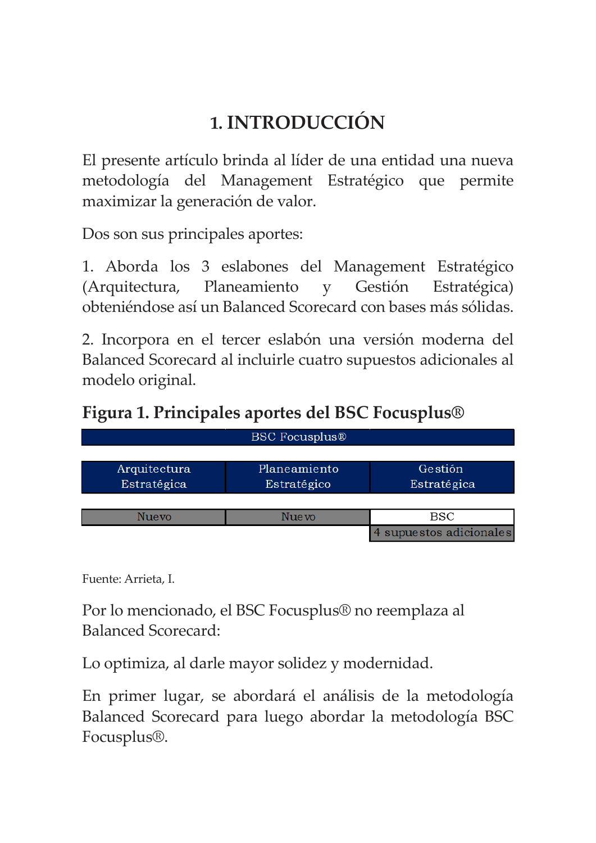## **1. INTRODUCCIÓN**

El presente artículo brinda al líder de una entidad una nueva metodología del Management Estratégico que permite maximizar la generación de valor.

Dos son sus principales aportes:

1. Aborda los 3 eslabones del Management Estratégico (Arquitectura, Planeamiento y Gestión Estratégica) obteniéndose así un Balanced Scorecard con bases más sólidas.

2. Incorpora en el tercer eslabón una versión moderna del Balanced Scorecard al incluirle cuatro supuestos adicionales al modelo original.

**Figura 1. Principales aportes del BSC Focusplus®**

| <b>BSC Focusplus®</b> |              |                       |  |  |  |  |  |  |  |
|-----------------------|--------------|-----------------------|--|--|--|--|--|--|--|
|                       |              |                       |  |  |  |  |  |  |  |
| Arquitectura          | Planeamiento | Gestión               |  |  |  |  |  |  |  |
| Estratégica           | Estratégico  | Estratégica           |  |  |  |  |  |  |  |
|                       |              |                       |  |  |  |  |  |  |  |
| <b>Nuevo</b>          | Nue vo       | <b>BSC</b>            |  |  |  |  |  |  |  |
|                       |              | supuestos adicionales |  |  |  |  |  |  |  |

Fuente: Arrieta, I.

Por lo mencionado, el BSC Focusplus® no reemplaza al Balanced Scorecard:

Lo optimiza, al darle mayor solidez y modernidad.

En primer lugar, se abordará el análisis de la metodología Balanced Scorecard para luego abordar la metodología BSC Focusplus®.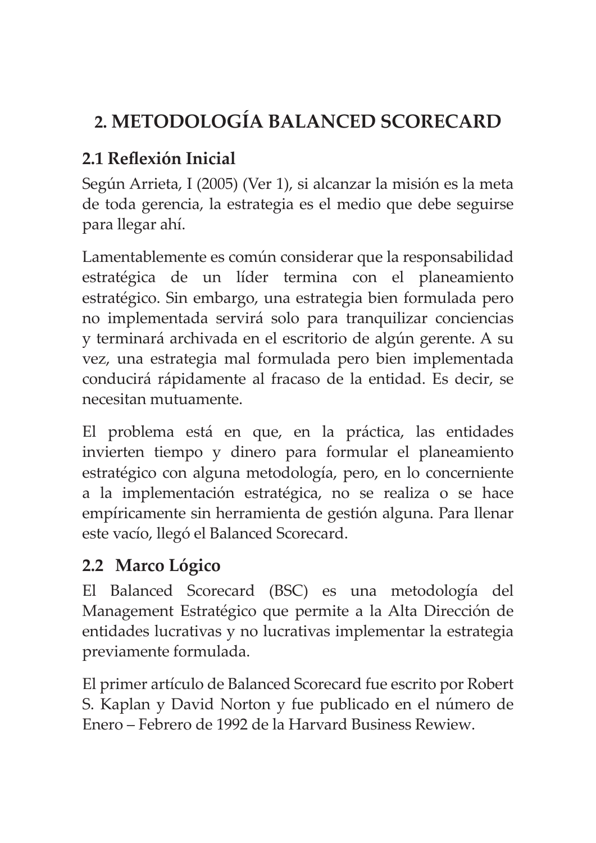## **2. METODOLOGÍA BALANCED SCORECARD**

## **2.1 Reflexión Inicial**

Según Arrieta, I (2005) (Ver 1), si alcanzar la misión es la meta de toda gerencia, la estrategia es el medio que debe seguirse para llegar ahí.

Lamentablemente es común considerar que la responsabilidad estratégica de un líder termina con el planeamiento estratégico. Sin embargo, una estrategia bien formulada pero no implementada servirá solo para tranquilizar conciencias y terminará archivada en el escritorio de algún gerente. A su vez, una estrategia mal formulada pero bien implementada conducirá rápidamente al fracaso de la entidad. Es decir, se necesitan mutuamente.

El problema está en que, en la práctica, las entidades invierten tiempo y dinero para formular el planeamiento estratégico con alguna metodología, pero, en lo concerniente a la implementación estratégica, no se realiza o se hace empíricamente sin herramienta de gestión alguna. Para llenar este vacío, llegó el Balanced Scorecard.

## **2.2 Marco Lógico**

El Balanced Scorecard (BSC) es una metodología del Management Estratégico que permite a la Alta Dirección de entidades lucrativas y no lucrativas implementar la estrategia previamente formulada.

El primer artículo de Balanced Scorecard fue escrito por Robert S. Kaplan y David Norton y fue publicado en el número de Enero – Febrero de 1992 de la Harvard Business Rewiew.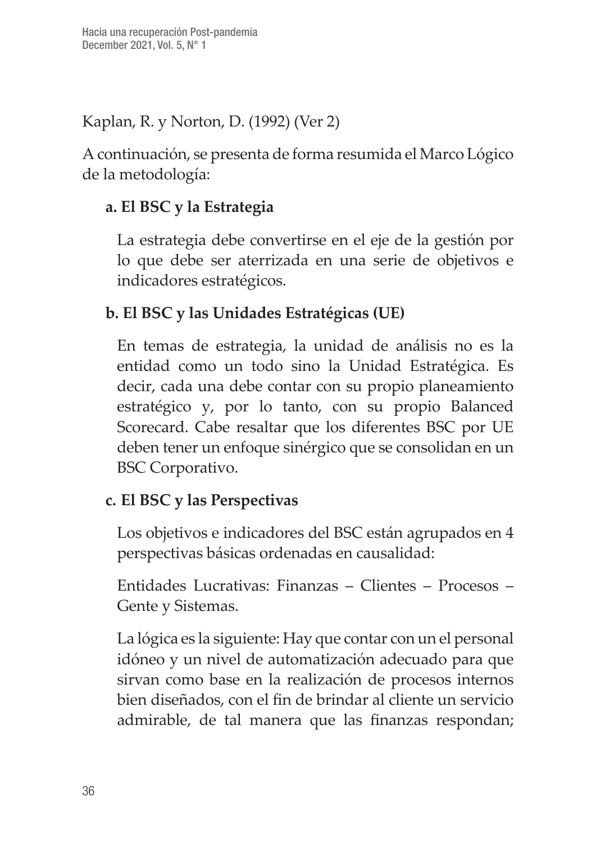Kaplan, R. y Norton, D. (1992) (Ver 2)

A continuación, se presenta de forma resumida el Marco Lógico de la metodología:

## **a. El BSC y la Estrategia**

La estrategia debe convertirse en el eje de la gestión por lo que debe ser aterrizada en una serie de objetivos e indicadores estratégicos.

## **b. El BSC y las Unidades Estratégicas (UE)**

En temas de estrategia, la unidad de análisis no es la entidad como un todo sino la Unidad Estratégica. Es decir, cada una debe contar con su propio planeamiento estratégico y, por lo tanto, con su propio Balanced Scorecard. Cabe resaltar que los diferentes BSC por UE deben tener un enfoque sinérgico que se consolidan en un BSC Corporativo.

#### **c. El BSC y las Perspectivas**

Los objetivos e indicadores del BSC están agrupados en 4 perspectivas básicas ordenadas en causalidad:

Entidades Lucrativas: Finanzas – Clientes – Procesos – Gente y Sistemas.

La lógica es la siguiente: Hay que contar con un el personal idóneo y un nivel de automatización adecuado para que sirvan como base en la realización de procesos internos bien diseñados, con el fin de brindar al cliente un servicio admirable, de tal manera que las finanzas respondan;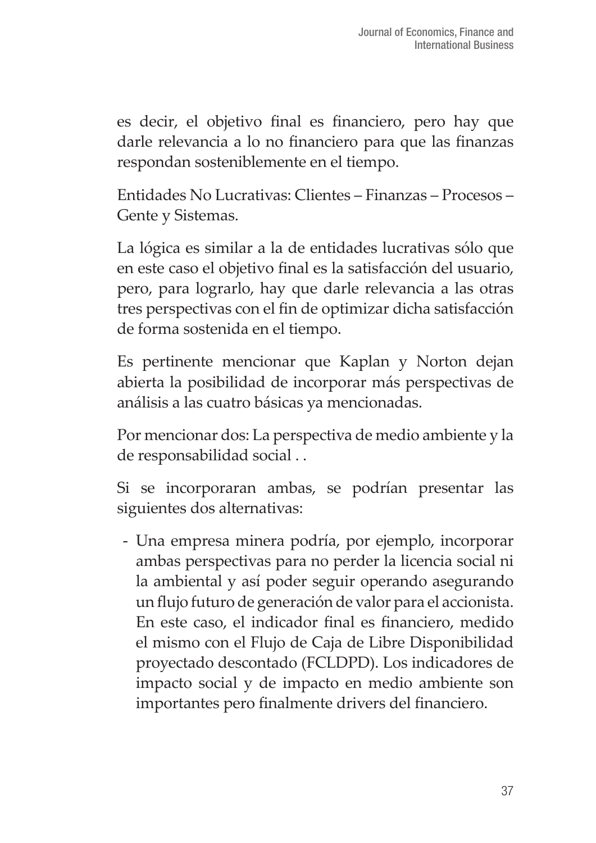es decir, el objetivo final es financiero, pero hay que darle relevancia a lo no financiero para que las finanzas respondan sosteniblemente en el tiempo.

Entidades No Lucrativas: Clientes – Finanzas – Procesos – Gente y Sistemas.

La lógica es similar a la de entidades lucrativas sólo que en este caso el objetivo final es la satisfacción del usuario, pero, para lograrlo, hay que darle relevancia a las otras tres perspectivas con el fin de optimizar dicha satisfacción de forma sostenida en el tiempo.

Es pertinente mencionar que Kaplan y Norton dejan abierta la posibilidad de incorporar más perspectivas de análisis a las cuatro básicas ya mencionadas.

Por mencionar dos: La perspectiva de medio ambiente y la de responsabilidad social . .

Si se incorporaran ambas, se podrían presentar las siguientes dos alternativas:

- Una empresa minera podría, por ejemplo, incorporar ambas perspectivas para no perder la licencia social ni la ambiental y así poder seguir operando asegurando un flujo futuro de generación de valor para el accionista. En este caso, el indicador final es financiero, medido el mismo con el Flujo de Caja de Libre Disponibilidad proyectado descontado (FCLDPD). Los indicadores de impacto social y de impacto en medio ambiente son importantes pero finalmente drivers del financiero.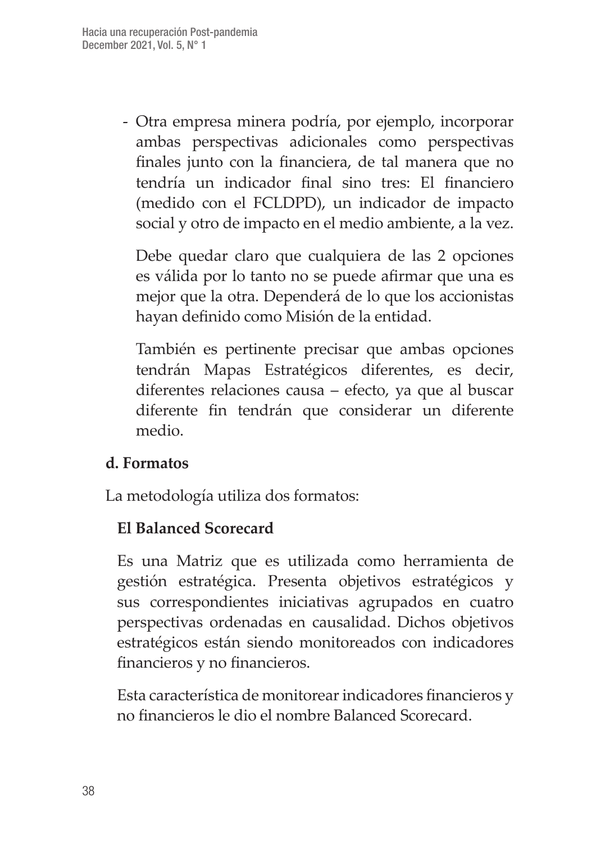- Otra empresa minera podría, por ejemplo, incorporar ambas perspectivas adicionales como perspectivas finales junto con la financiera, de tal manera que no tendría un indicador final sino tres: El financiero (medido con el FCLDPD), un indicador de impacto social y otro de impacto en el medio ambiente, a la vez.

Debe quedar claro que cualquiera de las 2 opciones es válida por lo tanto no se puede afirmar que una es mejor que la otra. Dependerá de lo que los accionistas hayan definido como Misión de la entidad.

También es pertinente precisar que ambas opciones tendrán Mapas Estratégicos diferentes, es decir, diferentes relaciones causa – efecto, ya que al buscar diferente fin tendrán que considerar un diferente medio.

#### **d. Formatos**

La metodología utiliza dos formatos:

#### **El Balanced Scorecard**

Es una Matriz que es utilizada como herramienta de gestión estratégica. Presenta objetivos estratégicos y sus correspondientes iniciativas agrupados en cuatro perspectivas ordenadas en causalidad. Dichos objetivos estratégicos están siendo monitoreados con indicadores financieros y no financieros.

Esta característica de monitorear indicadores financieros y no financieros le dio el nombre Balanced Scorecard.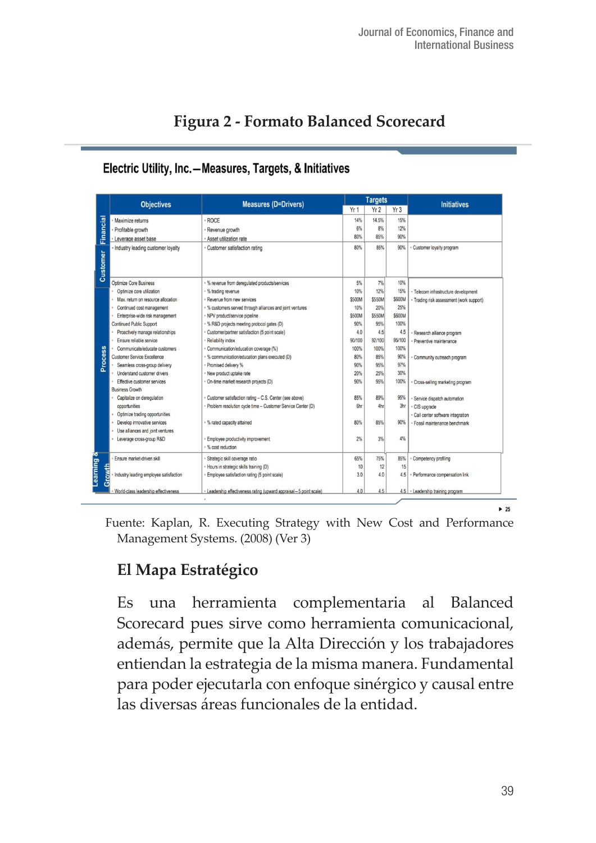|  |  |  |  | Figura 2 - Formato Balanced Scorecard |
|--|--|--|--|---------------------------------------|
|--|--|--|--|---------------------------------------|

|                 | <b>Objectives</b>                      | <b>Measures (D=Drivers)</b>                                        |        | <b>Targets</b> |        | <b>Initiatives</b>                       |
|-----------------|----------------------------------------|--------------------------------------------------------------------|--------|----------------|--------|------------------------------------------|
|                 |                                        |                                                                    | Yr 1   | Yr2            | Yr3    |                                          |
| Financial       | Maximize returns                       | <b>ROCE</b>                                                        | 14%    | 14.5%          | 15%    |                                          |
|                 | Profitable growth                      | Revenue growth                                                     | 6%     | 8%             | 12%    |                                          |
|                 | Leverage asset base                    | Asset utilization rate                                             | 80%    | 85%            | 90%    |                                          |
|                 | - Industry leading customer loyalty    | · Customer satisfaction rating                                     | 80%    | 85%            | 90%    | Customer loyalty program                 |
| <b>Customer</b> |                                        |                                                                    |        |                |        |                                          |
|                 | Optimize Core Business                 | · % revenue from derequiated products/services                     | 5%     | 7%             | 10%    |                                          |
|                 | Optimize core utilization              | · % trading revenue                                                | 10%    | 12%            | 15%    | · Telecom infrastructure development     |
|                 | Max, return on resource allocation     | Revenue from new services                                          | \$500M | \$550M         | \$600M | - Trading risk assessment (work support) |
|                 | Continued cost management              | · % customers served through alliances and joint ventures          | 10%    | 20%            | 25%    |                                          |
|                 | Enterprise-wide risk management        | NPV product/service pipeline                                       | \$500M | \$550M         | \$600M |                                          |
| <b>Process</b>  | Continued Public Support               | - % R&D projects meeting protocol gates (D)                        | 90%    | 95%            | 100%   |                                          |
|                 | Proactively manage relationships       | Customer/partner satisfaction (5 point scale)                      | 4.0    | 45             | 4.5    | Research alliance program                |
|                 | Ensure reliable service                | Reliability index                                                  | 90/100 | 92/100         | 95/100 | Preventive maintenance                   |
|                 | Communicate/educate customers          | Communication/education coverage (%)                               | 100%   | 100%           | 100%   |                                          |
|                 | Customer Service Excellence            | % communication/education plans executed (D)                       | 80%    | 85%            | 90%    | Community outreach program               |
|                 | Seamless cross-group delivery          | Promised delivery %                                                | 90%    | 95%            | 97%    |                                          |
|                 | <b>Understand customer drivers</b>     | New product uptake rate                                            | 20%    | 25%            | 30%    |                                          |
|                 | Effective customer services            | On-time market research projects (D)                               | 90%    | 95%            | 100%   | Cross-seling marketing program           |
|                 | <b>Business Growth</b>                 |                                                                    |        |                |        |                                          |
|                 | Capitalize on deregulation             | Customer satisfaction rating - C.S. Center (see above)             | 85%    | 89%            | 95%    | Service dispatch automation              |
|                 | cocortunities                          | Problem resolution cycle time - Customer Service Center (D)        | 6hr    | 4hr            | 3hr    | · CIS upgrade                            |
|                 | Optimize trading opportunities         |                                                                    |        |                |        | · Call center software integration       |
|                 | Develop innovative services            | % rated capacity attained                                          | 80%    | 85%            | 90%    | · Fossil maintenance benchmark           |
|                 | Use alliances and joint ventures       |                                                                    |        |                |        |                                          |
|                 | Leverage cross-group R&D               | Employee productivity improvement                                  | 2%     | 3%             | 4%     |                                          |
|                 |                                        | % cost reduction                                                   |        |                |        |                                          |
|                 | Ensure market-driven skill             | Strategic skill coverage ratio                                     | 65%    | 75%            | 85%    | Competency profiling                     |
|                 |                                        | Hours in strategic skills training (D)                             | 10     | 12             | 15     |                                          |
| Growth          | Industry leading employee satisfaction | Employee satisfaction rating (5 point scale)                       | 3.0    | 4.0            | 4.5    | · Performance compensation link          |
|                 | World-class leadership effectiveness   | · Leadership effectiveness rating (upward appraisal-5 point scale) | 4.0    | 4.5            |        | 4.5 - Leadership training program        |

#### Electric Utility, Inc.-Measures, Targets, & Initiatives

Fuente: Kaplan, R. Executing Strategy with New Cost and Performance Management Systems. (2008) (Ver 3)

## **El Mapa Estratégico**

Es una herramienta complementaria al Balanced Scorecard pues sirve como herramienta comunicacional, además, permite que la Alta Dirección y los trabajadores entiendan la estrategia de la misma manera. Fundamental para poder ejecutarla con enfoque sinérgico y causal entre las diversas áreas funcionales de la entidad.

 $\blacktriangleright$  25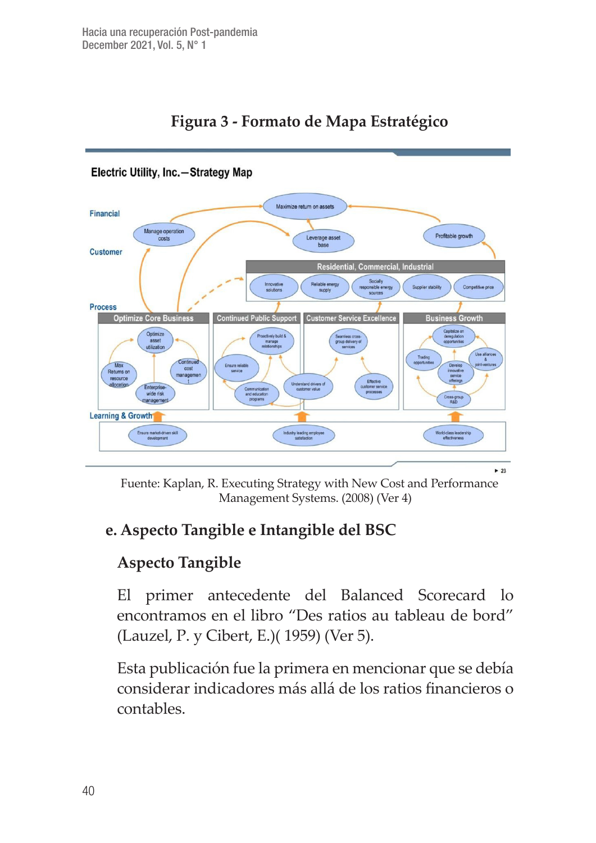

#### **Figura 3 - Formato de Mapa Estratégico**

Fuente: Kaplan, R. Executing Strategy with New Cost and Performance Management Systems. (2008) (Ver 4)

#### **e. Aspecto Tangible e Intangible del BSC**

#### **Aspecto Tangible**

El primer antecedente del Balanced Scorecard lo encontramos en el libro "Des ratios au tableau de bord" (Lauzel, P. y Cibert, E.)( 1959) (Ver 5).

Esta publicación fue la primera en mencionar que se debía considerar indicadores más allá de los ratios financieros o contables.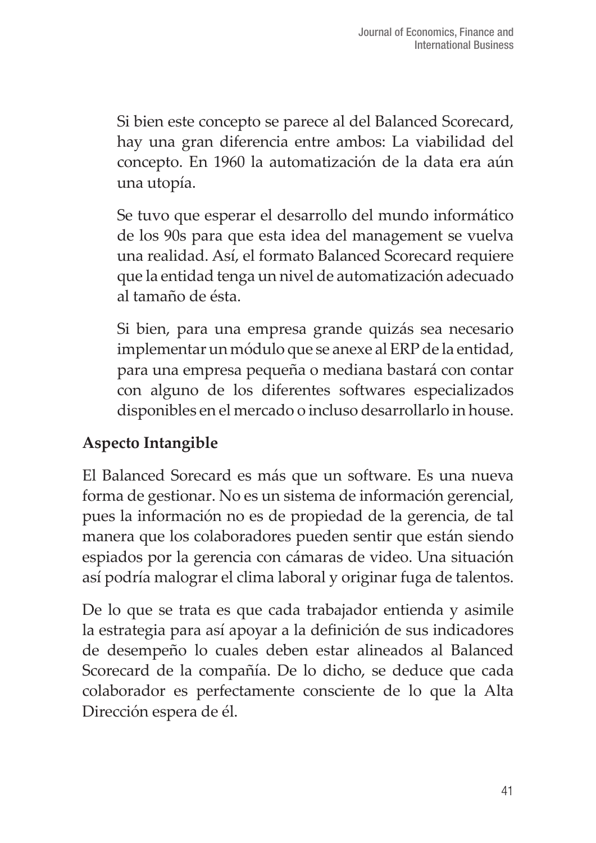Si bien este concepto se parece al del Balanced Scorecard, hay una gran diferencia entre ambos: La viabilidad del concepto. En 1960 la automatización de la data era aún una utopía.

Se tuvo que esperar el desarrollo del mundo informático de los 90s para que esta idea del management se vuelva una realidad. Así, el formato Balanced Scorecard requiere que la entidad tenga un nivel de automatización adecuado al tamaño de ésta.

Si bien, para una empresa grande quizás sea necesario implementar un módulo que se anexe al ERP de la entidad, para una empresa pequeña o mediana bastará con contar con alguno de los diferentes softwares especializados disponibles en el mercado o incluso desarrollarlo in house.

#### **Aspecto Intangible**

El Balanced Sorecard es más que un software. Es una nueva forma de gestionar. No es un sistema de información gerencial, pues la información no es de propiedad de la gerencia, de tal manera que los colaboradores pueden sentir que están siendo espiados por la gerencia con cámaras de video. Una situación así podría malograr el clima laboral y originar fuga de talentos.

De lo que se trata es que cada trabajador entienda y asimile la estrategia para así apoyar a la definición de sus indicadores de desempeño lo cuales deben estar alineados al Balanced Scorecard de la compañía. De lo dicho, se deduce que cada colaborador es perfectamente consciente de lo que la Alta Dirección espera de él.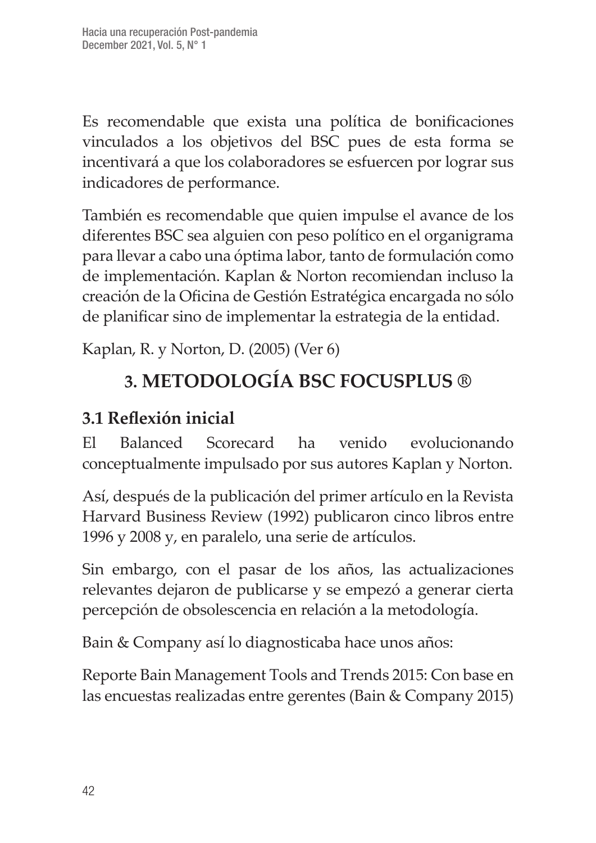Es recomendable que exista una política de bonificaciones vinculados a los objetivos del BSC pues de esta forma se incentivará a que los colaboradores se esfuercen por lograr sus indicadores de performance.

También es recomendable que quien impulse el avance de los diferentes BSC sea alguien con peso político en el organigrama para llevar a cabo una óptima labor, tanto de formulación como de implementación. Kaplan & Norton recomiendan incluso la creación de la Oficina de Gestión Estratégica encargada no sólo de planificar sino de implementar la estrategia de la entidad.

Kaplan, R. y Norton, D. (2005) (Ver 6)

## **3. METODOLOGÍA BSC FOCUSPLUS ®**

## **3.1 Reflexión inicial**

El Balanced Scorecard ha venido evolucionando conceptualmente impulsado por sus autores Kaplan y Norton.

Así, después de la publicación del primer artículo en la Revista Harvard Business Review (1992) publicaron cinco libros entre 1996 y 2008 y, en paralelo, una serie de artículos.

Sin embargo, con el pasar de los años, las actualizaciones relevantes dejaron de publicarse y se empezó a generar cierta percepción de obsolescencia en relación a la metodología.

Bain & Company así lo diagnosticaba hace unos años:

Reporte Bain Management Tools and Trends 2015: Con base en las encuestas realizadas entre gerentes (Bain & Company 2015)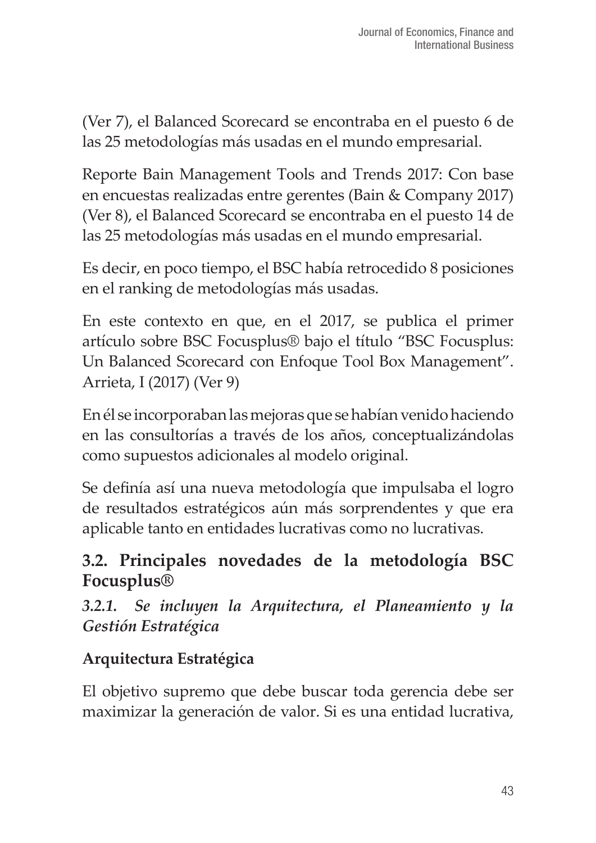(Ver 7), el Balanced Scorecard se encontraba en el puesto 6 de las 25 metodologías más usadas en el mundo empresarial.

Reporte Bain Management Tools and Trends 2017: Con base en encuestas realizadas entre gerentes (Bain & Company 2017) (Ver 8), el Balanced Scorecard se encontraba en el puesto 14 de las 25 metodologías más usadas en el mundo empresarial.

Es decir, en poco tiempo, el BSC había retrocedido 8 posiciones en el ranking de metodologías más usadas.

En este contexto en que, en el 2017, se publica el primer artículo sobre BSC Focusplus® bajo el título "BSC Focusplus: Un Balanced Scorecard con Enfoque Tool Box Management". Arrieta, I (2017) (Ver 9)

En él se incorporaban las mejoras que se habían venido haciendo en las consultorías a través de los años, conceptualizándolas como supuestos adicionales al modelo original.

Se definía así una nueva metodología que impulsaba el logro de resultados estratégicos aún más sorprendentes y que era aplicable tanto en entidades lucrativas como no lucrativas.

#### **3.2. Principales novedades de la metodología BSC Focusplus®**

*3.2.1. Se incluyen la Arquitectura, el Planeamiento y la Gestión Estratégica* 

## **Arquitectura Estratégica**

El objetivo supremo que debe buscar toda gerencia debe ser maximizar la generación de valor. Si es una entidad lucrativa,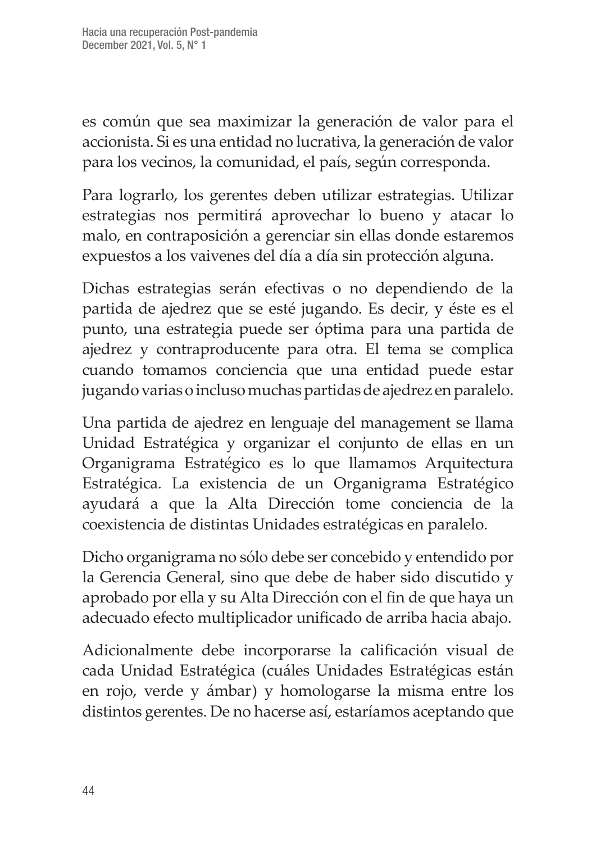es común que sea maximizar la generación de valor para el accionista. Si es una entidad no lucrativa, la generación de valor para los vecinos, la comunidad, el país, según corresponda.

Para lograrlo, los gerentes deben utilizar estrategias. Utilizar estrategias nos permitirá aprovechar lo bueno y atacar lo malo, en contraposición a gerenciar sin ellas donde estaremos expuestos a los vaivenes del día a día sin protección alguna.

Dichas estrategias serán efectivas o no dependiendo de la partida de ajedrez que se esté jugando. Es decir, y éste es el punto, una estrategia puede ser óptima para una partida de ajedrez y contraproducente para otra. El tema se complica cuando tomamos conciencia que una entidad puede estar jugando varias o incluso muchas partidas de ajedrez en paralelo.

Una partida de ajedrez en lenguaje del management se llama Unidad Estratégica y organizar el conjunto de ellas en un Organigrama Estratégico es lo que llamamos Arquitectura Estratégica. La existencia de un Organigrama Estratégico ayudará a que la Alta Dirección tome conciencia de la coexistencia de distintas Unidades estratégicas en paralelo.

Dicho organigrama no sólo debe ser concebido y entendido por la Gerencia General, sino que debe de haber sido discutido y aprobado por ella y su Alta Dirección con el fin de que haya un adecuado efecto multiplicador unificado de arriba hacia abajo.

Adicionalmente debe incorporarse la calificación visual de cada Unidad Estratégica (cuáles Unidades Estratégicas están en rojo, verde y ámbar) y homologarse la misma entre los distintos gerentes. De no hacerse así, estaríamos aceptando que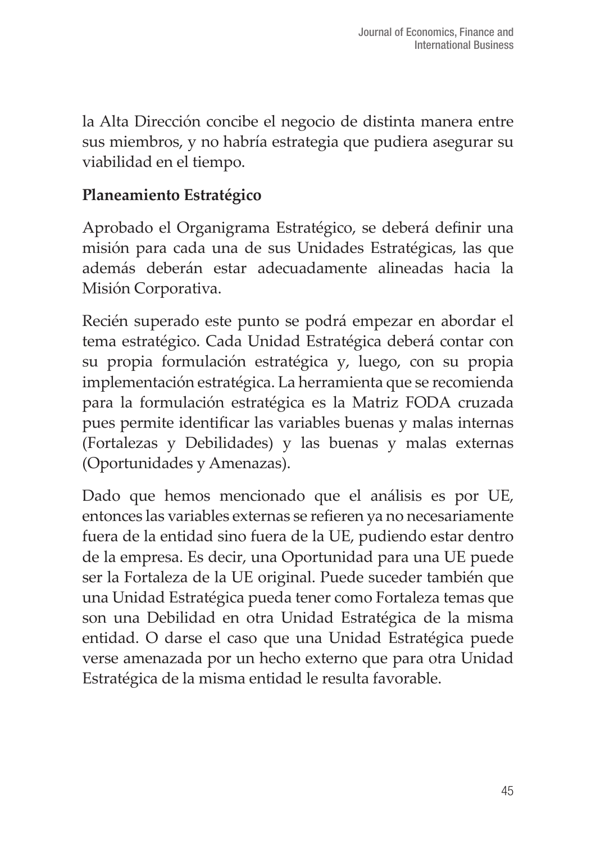la Alta Dirección concibe el negocio de distinta manera entre sus miembros, y no habría estrategia que pudiera asegurar su viabilidad en el tiempo.

#### **Planeamiento Estratégico**

Aprobado el Organigrama Estratégico, se deberá definir una misión para cada una de sus Unidades Estratégicas, las que además deberán estar adecuadamente alineadas hacia la Misión Corporativa.

Recién superado este punto se podrá empezar en abordar el tema estratégico. Cada Unidad Estratégica deberá contar con su propia formulación estratégica y, luego, con su propia implementación estratégica. La herramienta que se recomienda para la formulación estratégica es la Matriz FODA cruzada pues permite identificar las variables buenas y malas internas (Fortalezas y Debilidades) y las buenas y malas externas (Oportunidades y Amenazas).

Dado que hemos mencionado que el análisis es por UE, entonces las variables externas se refieren ya no necesariamente fuera de la entidad sino fuera de la UE, pudiendo estar dentro de la empresa. Es decir, una Oportunidad para una UE puede ser la Fortaleza de la UE original. Puede suceder también que una Unidad Estratégica pueda tener como Fortaleza temas que son una Debilidad en otra Unidad Estratégica de la misma entidad. O darse el caso que una Unidad Estratégica puede verse amenazada por un hecho externo que para otra Unidad Estratégica de la misma entidad le resulta favorable.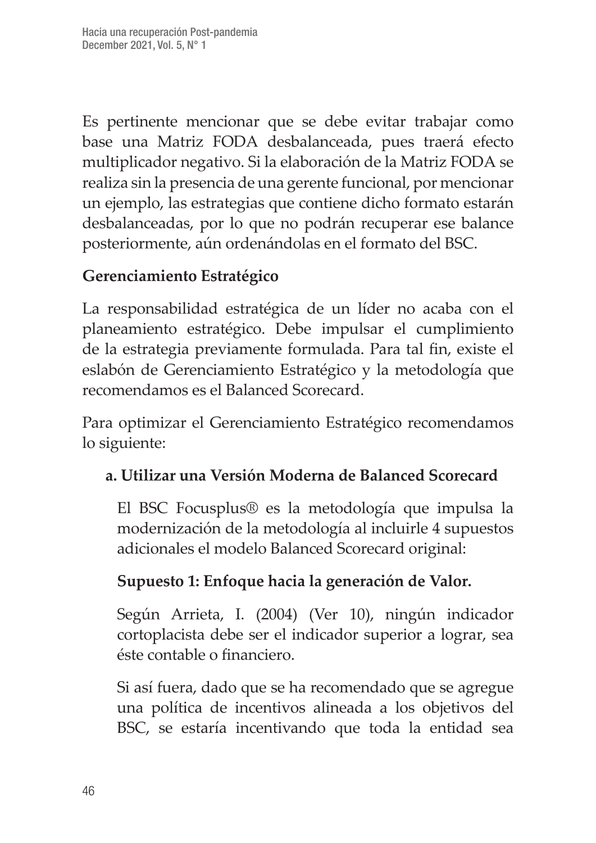Es pertinente mencionar que se debe evitar trabajar como base una Matriz FODA desbalanceada, pues traerá efecto multiplicador negativo. Si la elaboración de la Matriz FODA se realiza sin la presencia de una gerente funcional, por mencionar un ejemplo, las estrategias que contiene dicho formato estarán desbalanceadas, por lo que no podrán recuperar ese balance posteriormente, aún ordenándolas en el formato del BSC.

#### **Gerenciamiento Estratégico**

La responsabilidad estratégica de un líder no acaba con el planeamiento estratégico. Debe impulsar el cumplimiento de la estrategia previamente formulada. Para tal fin, existe el eslabón de Gerenciamiento Estratégico y la metodología que recomendamos es el Balanced Scorecard.

Para optimizar el Gerenciamiento Estratégico recomendamos lo siguiente:

#### **a. Utilizar una Versión Moderna de Balanced Scorecard**

El BSC Focusplus® es la metodología que impulsa la modernización de la metodología al incluirle 4 supuestos adicionales el modelo Balanced Scorecard original:

#### **Supuesto 1: Enfoque hacia la generación de Valor.**

Según Arrieta, I. (2004) (Ver 10), ningún indicador cortoplacista debe ser el indicador superior a lograr, sea éste contable o financiero.

Si así fuera, dado que se ha recomendado que se agregue una política de incentivos alineada a los objetivos del BSC, se estaría incentivando que toda la entidad sea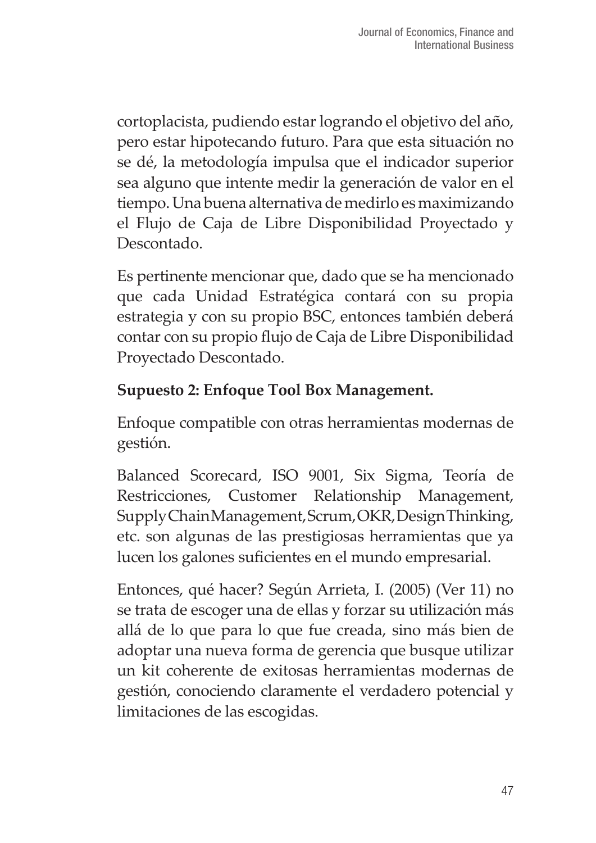cortoplacista, pudiendo estar logrando el objetivo del año, pero estar hipotecando futuro. Para que esta situación no se dé, la metodología impulsa que el indicador superior sea alguno que intente medir la generación de valor en el tiempo. Una buena alternativa de medirlo es maximizando el Flujo de Caja de Libre Disponibilidad Proyectado y Descontado.

Es pertinente mencionar que, dado que se ha mencionado que cada Unidad Estratégica contará con su propia estrategia y con su propio BSC, entonces también deberá contar con su propio flujo de Caja de Libre Disponibilidad Proyectado Descontado.

#### **Supuesto 2: Enfoque Tool Box Management.**

Enfoque compatible con otras herramientas modernas de gestión.

Balanced Scorecard, ISO 9001, Six Sigma, Teoría de Restricciones, Customer Relationship Management, Supply Chain Management, Scrum, OKR, Design Thinking, etc. son algunas de las prestigiosas herramientas que ya lucen los galones suficientes en el mundo empresarial.

Entonces, qué hacer? Según Arrieta, I. (2005) (Ver 11) no se trata de escoger una de ellas y forzar su utilización más allá de lo que para lo que fue creada, sino más bien de adoptar una nueva forma de gerencia que busque utilizar un kit coherente de exitosas herramientas modernas de gestión, conociendo claramente el verdadero potencial y limitaciones de las escogidas.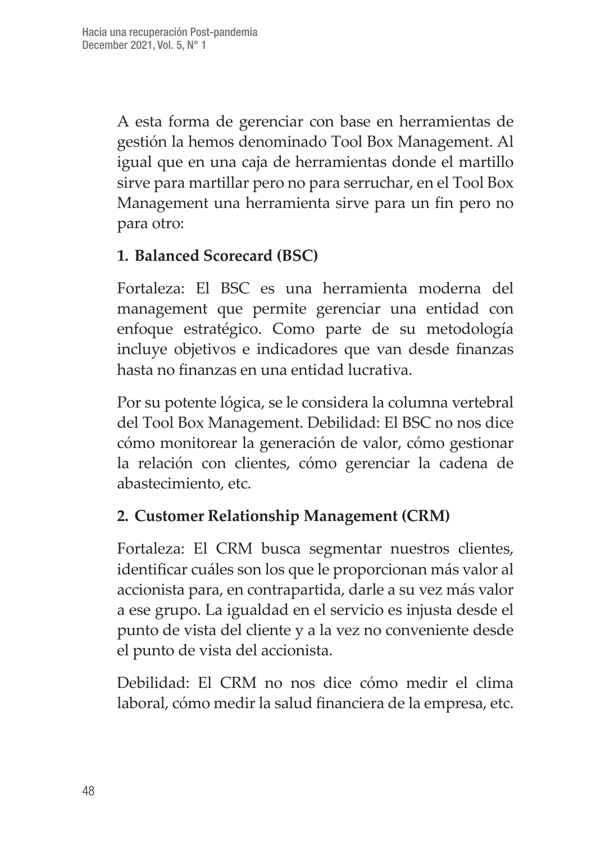A esta forma de gerenciar con base en herramientas de gestión la hemos denominado Tool Box Management. Al igual que en una caja de herramientas donde el martillo sirve para martillar pero no para serruchar, en el Tool Box Management una herramienta sirve para un fin pero no para otro:

#### **1. Balanced Scorecard (BSC)**

Fortaleza: El BSC es una herramienta moderna del management que permite gerenciar una entidad con enfoque estratégico. Como parte de su metodología incluye objetivos e indicadores que van desde finanzas hasta no finanzas en una entidad lucrativa.

Por su potente lógica, se le considera la columna vertebral del Tool Box Management. Debilidad: El BSC no nos dice cómo monitorear la generación de valor, cómo gestionar la relación con clientes, cómo gerenciar la cadena de abastecimiento, etc.

#### **2. Customer Relationship Management (CRM)**

Fortaleza: El CRM busca segmentar nuestros clientes, identificar cuáles son los que le proporcionan más valor al accionista para, en contrapartida, darle a su vez más valor a ese grupo. La igualdad en el servicio es injusta desde el punto de vista del cliente y a la vez no conveniente desde el punto de vista del accionista.

Debilidad: El CRM no nos dice cómo medir el clima laboral, cómo medir la salud financiera de la empresa, etc.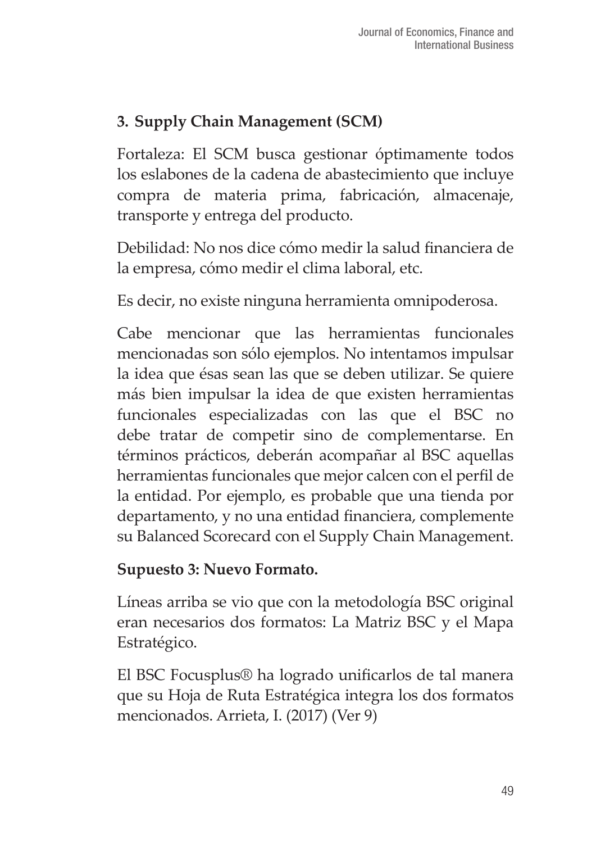## **3. Supply Chain Management (SCM)**

Fortaleza: El SCM busca gestionar óptimamente todos los eslabones de la cadena de abastecimiento que incluye compra de materia prima, fabricación, almacenaje, transporte y entrega del producto.

Debilidad: No nos dice cómo medir la salud financiera de la empresa, cómo medir el clima laboral, etc.

Es decir, no existe ninguna herramienta omnipoderosa.

Cabe mencionar que las herramientas funcionales mencionadas son sólo ejemplos. No intentamos impulsar la idea que ésas sean las que se deben utilizar. Se quiere más bien impulsar la idea de que existen herramientas funcionales especializadas con las que el BSC no debe tratar de competir sino de complementarse. En términos prácticos, deberán acompañar al BSC aquellas herramientas funcionales que mejor calcen con el perfil de la entidad. Por ejemplo, es probable que una tienda por departamento, y no una entidad financiera, complemente su Balanced Scorecard con el Supply Chain Management.

#### **Supuesto 3: Nuevo Formato.**

Líneas arriba se vio que con la metodología BSC original eran necesarios dos formatos: La Matriz BSC y el Mapa Estratégico.

El BSC Focusplus® ha logrado unificarlos de tal manera que su Hoja de Ruta Estratégica integra los dos formatos mencionados. Arrieta, I. (2017) (Ver 9)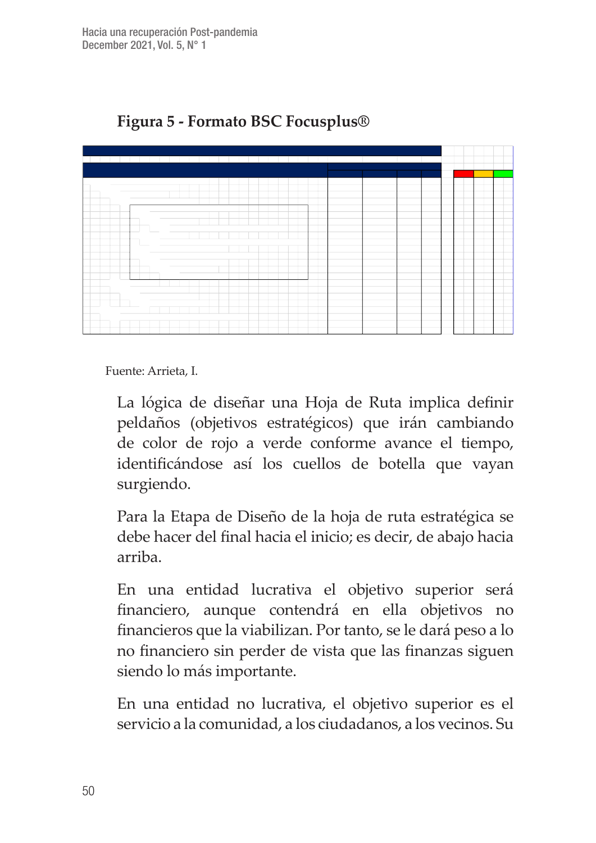

#### **Figura 5 - Formato BSC Focusplus®**

Fuente: Arrieta, I.

La lógica de diseñar una Hoja de Ruta implica definir peldaños (objetivos estratégicos) que irán cambiando de color de rojo a verde conforme avance el tiempo, identificándose así los cuellos de botella que vayan surgiendo.

Para la Etapa de Diseño de la hoja de ruta estratégica se debe hacer del final hacia el inicio; es decir, de abajo hacia arriba.

En una entidad lucrativa el objetivo superior será financiero, aunque contendrá en ella objetivos no financieros que la viabilizan. Por tanto, se le dará peso a lo no financiero sin perder de vista que las finanzas siguen siendo lo más importante.

En una entidad no lucrativa, el objetivo superior es el servicio a la comunidad, a los ciudadanos, a los vecinos. Su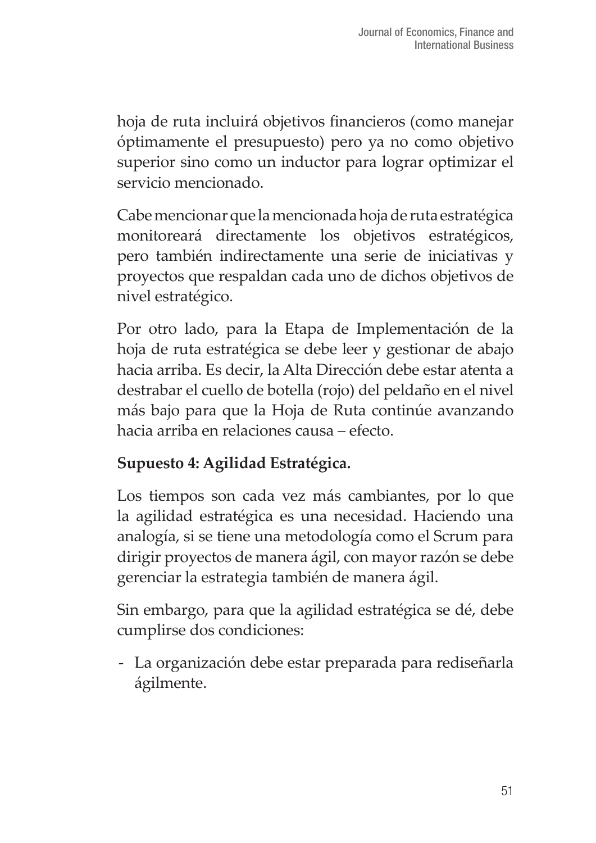hoja de ruta incluirá objetivos financieros (como manejar óptimamente el presupuesto) pero ya no como objetivo superior sino como un inductor para lograr optimizar el servicio mencionado.

Cabe mencionar que la mencionada hoja de ruta estratégica monitoreará directamente los objetivos estratégicos, pero también indirectamente una serie de iniciativas y proyectos que respaldan cada uno de dichos objetivos de nivel estratégico.

Por otro lado, para la Etapa de Implementación de la hoja de ruta estratégica se debe leer y gestionar de abajo hacia arriba. Es decir, la Alta Dirección debe estar atenta a destrabar el cuello de botella (rojo) del peldaño en el nivel más bajo para que la Hoja de Ruta continúe avanzando hacia arriba en relaciones causa – efecto.

#### **Supuesto 4: Agilidad Estratégica.**

Los tiempos son cada vez más cambiantes, por lo que la agilidad estratégica es una necesidad. Haciendo una analogía, si se tiene una metodología como el Scrum para dirigir proyectos de manera ágil, con mayor razón se debe gerenciar la estrategia también de manera ágil.

Sin embargo, para que la agilidad estratégica se dé, debe cumplirse dos condiciones:

- La organización debe estar preparada para rediseñarla ágilmente.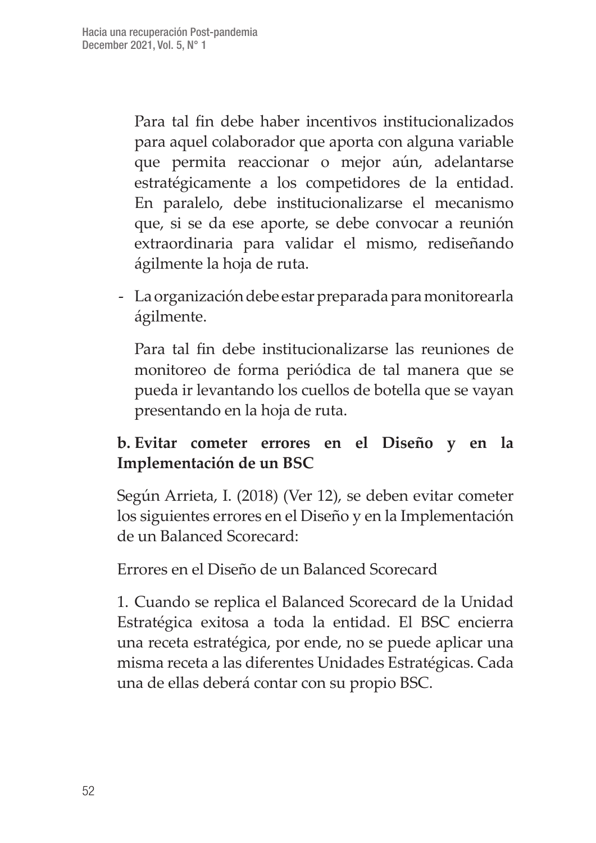Para tal fin debe haber incentivos institucionalizados para aquel colaborador que aporta con alguna variable que permita reaccionar o mejor aún, adelantarse estratégicamente a los competidores de la entidad. En paralelo, debe institucionalizarse el mecanismo que, si se da ese aporte, se debe convocar a reunión extraordinaria para validar el mismo, rediseñando ágilmente la hoja de ruta.

- La organización debe estar preparada para monitorearla ágilmente.

Para tal fin debe institucionalizarse las reuniones de monitoreo de forma periódica de tal manera que se pueda ir levantando los cuellos de botella que se vayan presentando en la hoja de ruta.

#### **b. Evitar cometer errores en el Diseño y en la Implementación de un BSC**

Según Arrieta, I. (2018) (Ver 12), se deben evitar cometer los siguientes errores en el Diseño y en la Implementación de un Balanced Scorecard:

Errores en el Diseño de un Balanced Scorecard

1. Cuando se replica el Balanced Scorecard de la Unidad Estratégica exitosa a toda la entidad. El BSC encierra una receta estratégica, por ende, no se puede aplicar una misma receta a las diferentes Unidades Estratégicas. Cada una de ellas deberá contar con su propio BSC.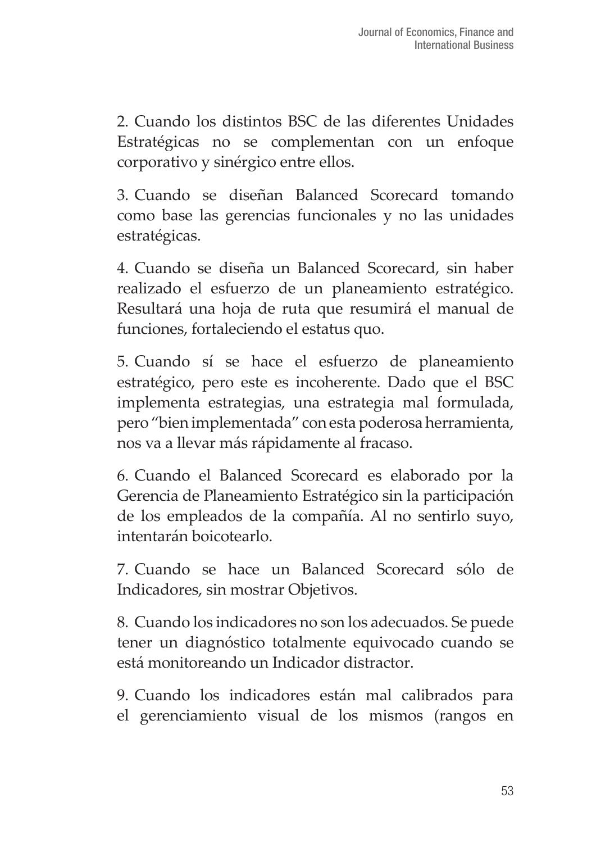2. Cuando los distintos BSC de las diferentes Unidades Estratégicas no se complementan con un enfoque corporativo y sinérgico entre ellos.

3. Cuando se diseñan Balanced Scorecard tomando como base las gerencias funcionales y no las unidades estratégicas.

4. Cuando se diseña un Balanced Scorecard, sin haber realizado el esfuerzo de un planeamiento estratégico. Resultará una hoja de ruta que resumirá el manual de funciones, fortaleciendo el estatus quo.

5. Cuando sí se hace el esfuerzo de planeamiento estratégico, pero este es incoherente. Dado que el BSC implementa estrategias, una estrategia mal formulada, pero "bien implementada" con esta poderosa herramienta, nos va a llevar más rápidamente al fracaso.

6. Cuando el Balanced Scorecard es elaborado por la Gerencia de Planeamiento Estratégico sin la participación de los empleados de la compañía. Al no sentirlo suyo, intentarán boicotearlo.

7. Cuando se hace un Balanced Scorecard sólo de Indicadores, sin mostrar Objetivos.

8. Cuando los indicadores no son los adecuados. Se puede tener un diagnóstico totalmente equivocado cuando se está monitoreando un Indicador distractor.

9. Cuando los indicadores están mal calibrados para el gerenciamiento visual de los mismos (rangos en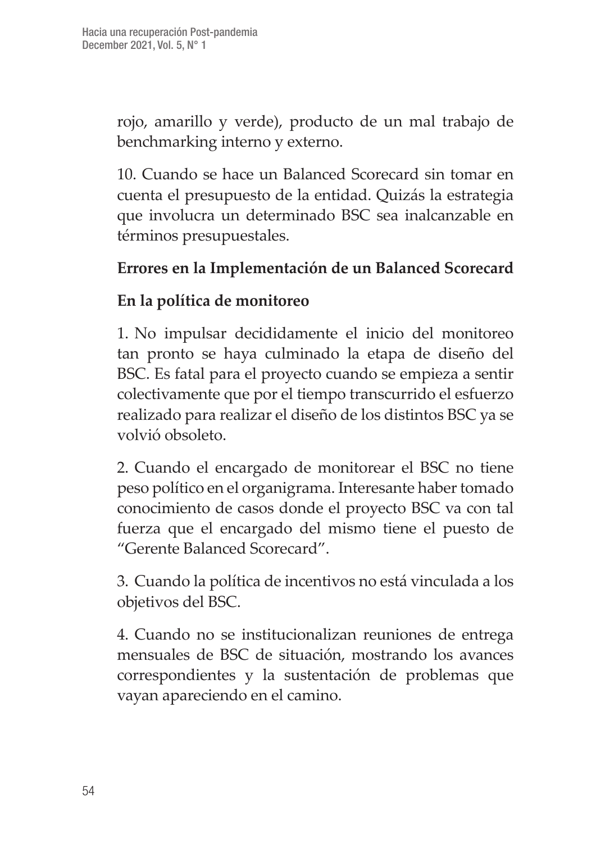rojo, amarillo y verde), producto de un mal trabajo de benchmarking interno y externo.

10. Cuando se hace un Balanced Scorecard sin tomar en cuenta el presupuesto de la entidad. Quizás la estrategia que involucra un determinado BSC sea inalcanzable en términos presupuestales.

#### **Errores en la Implementación de un Balanced Scorecard**

#### **En la política de monitoreo**

1. No impulsar decididamente el inicio del monitoreo tan pronto se haya culminado la etapa de diseño del BSC. Es fatal para el proyecto cuando se empieza a sentir colectivamente que por el tiempo transcurrido el esfuerzo realizado para realizar el diseño de los distintos BSC ya se volvió obsoleto.

2. Cuando el encargado de monitorear el BSC no tiene peso político en el organigrama. Interesante haber tomado conocimiento de casos donde el proyecto BSC va con tal fuerza que el encargado del mismo tiene el puesto de "Gerente Balanced Scorecard".

3. Cuando la política de incentivos no está vinculada a los objetivos del BSC.

4. Cuando no se institucionalizan reuniones de entrega mensuales de BSC de situación, mostrando los avances correspondientes y la sustentación de problemas que vayan apareciendo en el camino.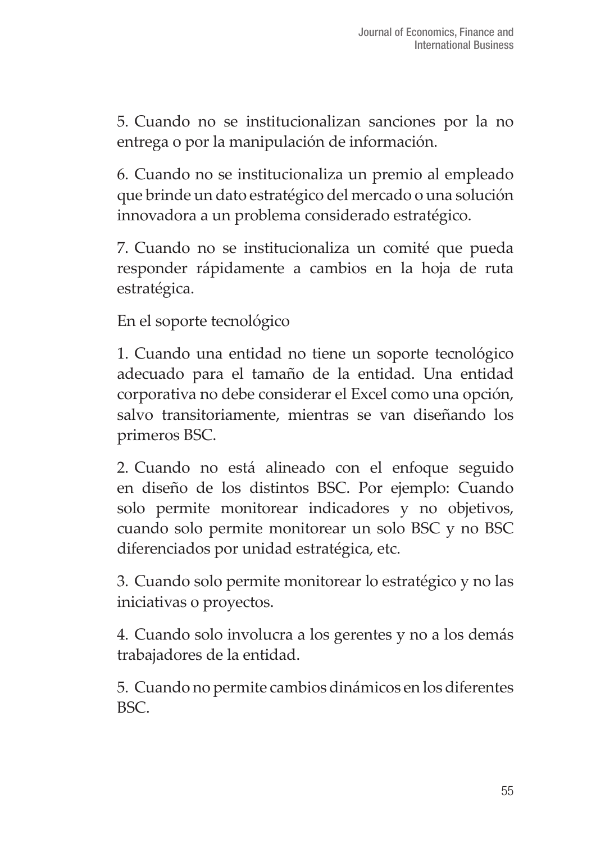5. Cuando no se institucionalizan sanciones por la no entrega o por la manipulación de información.

6. Cuando no se institucionaliza un premio al empleado que brinde un dato estratégico del mercado o una solución innovadora a un problema considerado estratégico.

7. Cuando no se institucionaliza un comité que pueda responder rápidamente a cambios en la hoja de ruta estratégica.

En el soporte tecnológico

1. Cuando una entidad no tiene un soporte tecnológico adecuado para el tamaño de la entidad. Una entidad corporativa no debe considerar el Excel como una opción, salvo transitoriamente, mientras se van diseñando los primeros BSC.

2. Cuando no está alineado con el enfoque seguido en diseño de los distintos BSC. Por ejemplo: Cuando solo permite monitorear indicadores y no objetivos, cuando solo permite monitorear un solo BSC y no BSC diferenciados por unidad estratégica, etc.

3. Cuando solo permite monitorear lo estratégico y no las iniciativas o proyectos.

4. Cuando solo involucra a los gerentes y no a los demás trabajadores de la entidad.

5. Cuando no permite cambios dinámicos en los diferentes BSC.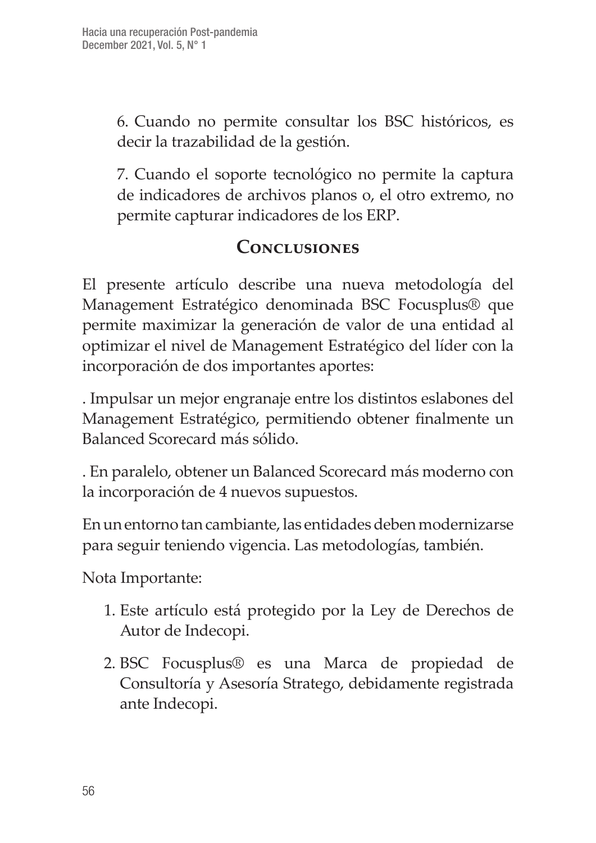6. Cuando no permite consultar los BSC históricos, es decir la trazabilidad de la gestión.

7. Cuando el soporte tecnológico no permite la captura de indicadores de archivos planos o, el otro extremo, no permite capturar indicadores de los ERP.

## **Conclusiones**

El presente artículo describe una nueva metodología del Management Estratégico denominada BSC Focusplus® que permite maximizar la generación de valor de una entidad al optimizar el nivel de Management Estratégico del líder con la incorporación de dos importantes aportes:

. Impulsar un mejor engranaje entre los distintos eslabones del Management Estratégico, permitiendo obtener finalmente un Balanced Scorecard más sólido.

. En paralelo, obtener un Balanced Scorecard más moderno con la incorporación de 4 nuevos supuestos.

En un entorno tan cambiante, las entidades deben modernizarse para seguir teniendo vigencia. Las metodologías, también.

Nota Importante:

- 1. Este artículo está protegido por la Ley de Derechos de Autor de Indecopi.
- 2. BSC Focusplus® es una Marca de propiedad de Consultoría y Asesoría Stratego, debidamente registrada ante Indecopi.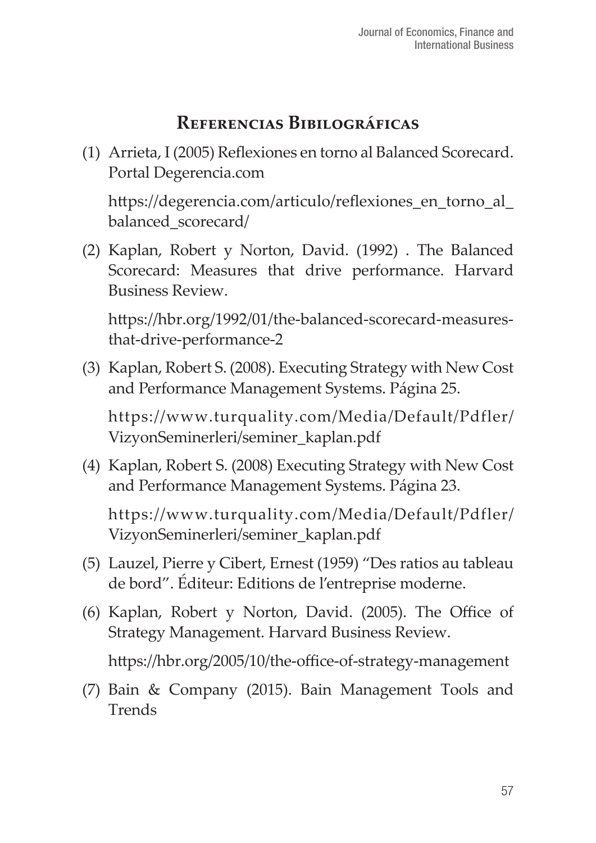## **Referencias Bibilográficas**

(1) Arrieta, I (2005) Reflexiones en torno al Balanced Scorecard. Portal Degerencia.com

https://degerencia.com/articulo/reflexiones\_en\_torno\_al\_ balanced\_scorecard/

(2) Kaplan, Robert y Norton, David. (1992) . The Balanced Scorecard: Measures that drive performance. Harvard Business Review.

https://hbr.org/1992/01/the-balanced-scorecard-measuresthat-drive-performance-2

(3) Kaplan, Robert S. (2008). Executing Strategy with New Cost and Performance Management Systems. Página 25.

https://www.turquality.com/Media/Default/Pdfler/ VizyonSeminerleri/seminer\_kaplan.pdf

(4) Kaplan, Robert S. (2008) Executing Strategy with New Cost and Performance Management Systems. Página 23.

https://www.turquality.com/Media/Default/Pdfler/ VizyonSeminerleri/seminer\_kaplan.pdf

- (5) Lauzel, Pierre y Cibert, Ernest (1959) "Des ratios au tableau de bord". Éditeur: Editions de l'entreprise moderne.
- (6) Kaplan, Robert y Norton, David. (2005). The Office of Strategy Management. Harvard Business Review.

https://hbr.org/2005/10/the-office-of-strategy-management

(7) Bain & Company (2015). Bain Management Tools and **Trends**